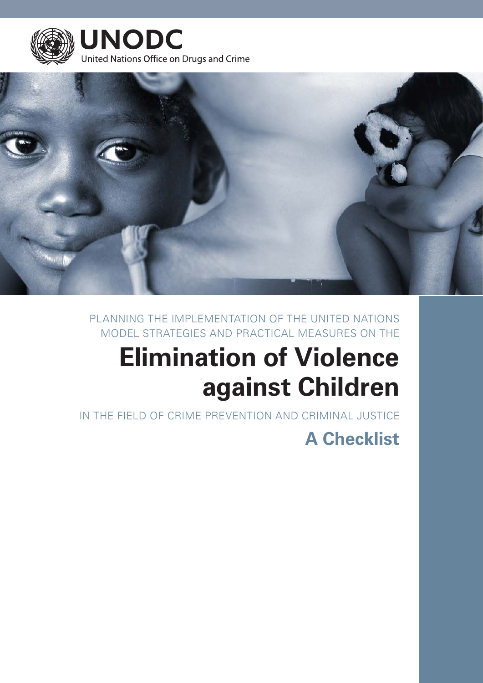



PLANNING THE IMPLEMENTATION OF THE UNITED NATIONS MODEL STRATEGIES AND PRACTICAL MEASURES ON THE

# **Elimination of Violence against Children**

IN THE FIELD OF CRIME PREVENTION AND CRIMINAL JUSTICE

## **A Checklist**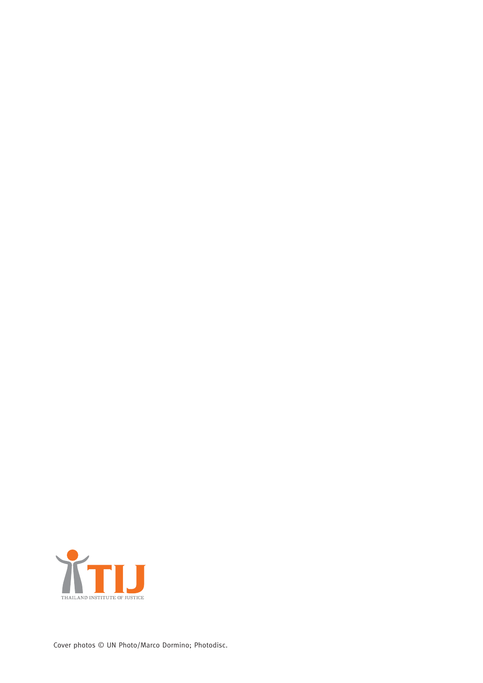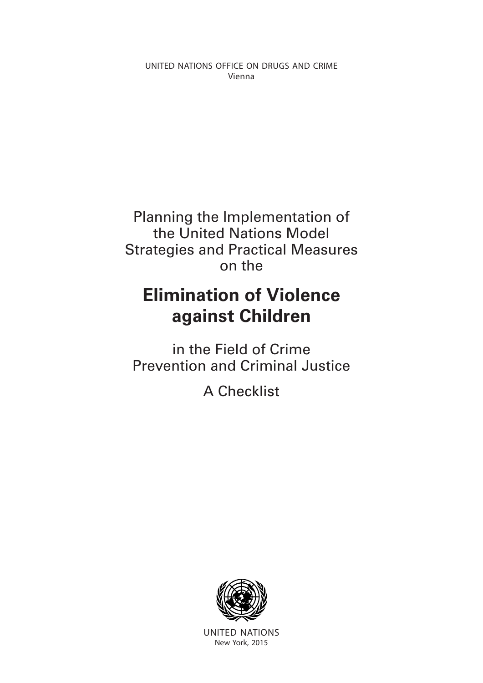UNITED NATIONS OFFICE ON DRUGS AND CRIME Vienna

Planning the Implementation of the United Nations Model Strategies and Practical Measures on the

## **Elimination of Violence against Children**

in the Field of Crime Prevention and Criminal Justice

A Checklist



UNITED NATIONS New York, 2015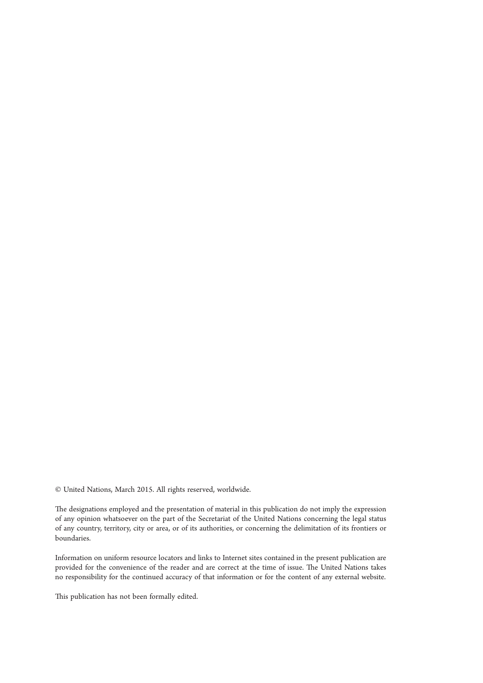© United Nations, March 2015. All rights reserved, worldwide.

The designations employed and the presentation of material in this publication do not imply the expression of any opinion whatsoever on the part of the Secretariat of the United Nations concerning the legal status of any country, territory, city or area, or of its authorities, or concerning the delimitation of its frontiers or boundaries.

Information on uniform resource locators and links to Internet sites contained in the present publication are provided for the convenience of the reader and are correct at the time of issue. The United Nations takes no responsibility for the continued accuracy of that information or for the content of any external website.

This publication has not been formally edited.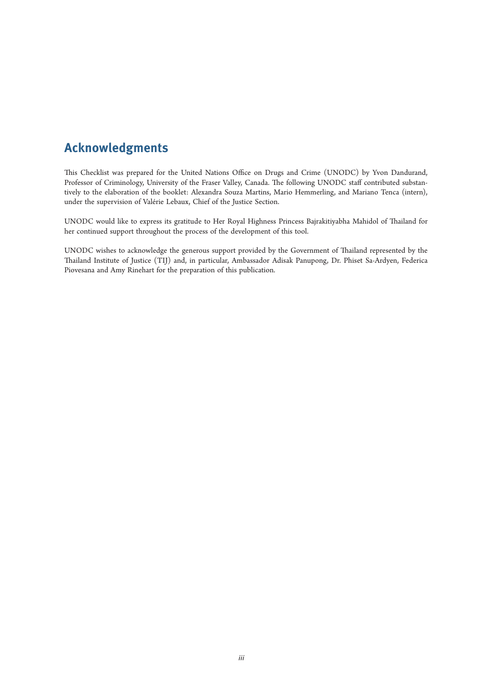## **Acknowledgments**

This Checklist was prepared for the United Nations Office on Drugs and Crime (UNODC) by Yvon Dandurand, Professor of Criminology, University of the Fraser Valley, Canada. The following UNODC staff contributed substantively to the elaboration of the booklet: Alexandra Souza Martins, Mario Hemmerling, and Mariano Tenca (intern), under the supervision of Valérie Lebaux, Chief of the Justice Section.

UNODC would like to express its gratitude to Her Royal Highness Princess Bajrakitiyabha Mahidol of Thailand for her continued support throughout the process of the development of this tool.

UNODC wishes to acknowledge the generous support provided by the Government of Thailand represented by the Thailand Institute of Justice (TIJ) and, in particular, Ambassador Adisak Panupong, Dr. Phiset Sa-Ardyen, Federica Piovesana and Amy Rinehart for the preparation of this publication.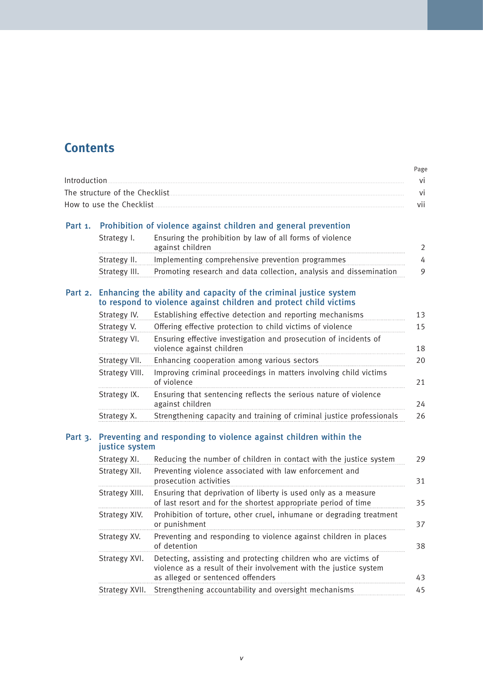### **Contents**

|                                                                                                                                                                                                                                                                                                                                                                                                                                                                                                                                  | Page |
|----------------------------------------------------------------------------------------------------------------------------------------------------------------------------------------------------------------------------------------------------------------------------------------------------------------------------------------------------------------------------------------------------------------------------------------------------------------------------------------------------------------------------------|------|
| $\label{eq:introduction} \begin{minipage}[c]{0.9\linewidth} \begin{minipage}[c]{0.9\linewidth} \begin{minipage}[c]{0.9\linewidth} \begin{minipage}[c]{0.9\linewidth} \end{minipage}[c]{0.9\linewidth} \begin{minipage}[c]{0.9\linewidth} \begin{minipage}[c]{0.9\linewidth} \end{minipage}[c]{0.9\linewidth} \end{minipage}[c]{0.9\linewidth} \begin{minipage}[c]{0.9\linewidth} \begin{minipage}[c]{0.9\linewidth} \end{minipage}[c]{0.9\linewidth} \end{minipage}[c]{0.9\linewidth} \begin{minipage}[c]{0.9\linewidth} \begin$ | vi   |
| The structure of the Checklist                                                                                                                                                                                                                                                                                                                                                                                                                                                                                                   | vi   |
|                                                                                                                                                                                                                                                                                                                                                                                                                                                                                                                                  | vii  |

#### Part 1. Prohibition of violence against children and general prevention

| Strategy I.  | Ensuring the prohibition by law of all forms of violence                         |  |
|--------------|----------------------------------------------------------------------------------|--|
|              | against children                                                                 |  |
| Strategy II. | Implementing comprehensive prevention programmes                                 |  |
|              | Strategy III. Promoting research and data collection, analysis and dissemination |  |

#### Part 2. Enhancing the ability and capacity of the criminal justice system to respond to violence against children and protect child victims

| Strategy IV.   | Establishing effective detection and reporting mechanisms                                     | 13 |
|----------------|-----------------------------------------------------------------------------------------------|----|
| Strategy V.    | Offering effective protection to child victims of violence                                    | 15 |
| Strategy VI.   | Ensuring effective investigation and prosecution of incidents of<br>violence against children | 18 |
| Strategy VII.  | Enhancing cooperation among various sectors                                                   | 20 |
| Strategy VIII. | Improving criminal proceedings in matters involving child victims<br>of violence              | 21 |
| Strategy IX.   | Ensuring that sentencing reflects the serious nature of violence<br>against children          | 24 |
| Strategy X.    | Strengthening capacity and training of criminal justice professionals                         | 26 |

#### Part 3. Preventing and responding to violence against children within the justice system

| Strategy XI.   | Reducing the number of children in contact with the justice system                                                                                                        | 29 |
|----------------|---------------------------------------------------------------------------------------------------------------------------------------------------------------------------|----|
| Strategy XII.  | Preventing violence associated with law enforcement and<br>prosecution activities                                                                                         | 31 |
| Strategy XIII. | Ensuring that deprivation of liberty is used only as a measure<br>of last resort and for the shortest appropriate period of time                                          | 35 |
| Strategy XIV.  | Prohibition of torture, other cruel, inhumane or degrading treatment<br>or punishment                                                                                     | 37 |
| Strategy XV.   | Preventing and responding to violence against children in places<br>of detention                                                                                          | 38 |
| Strategy XVI.  | Detecting, assisting and protecting children who are victims of<br>violence as a result of their involvement with the justice system<br>as alleged or sentenced offenders | 43 |
| Strategy XVII. | Strengthening accountability and oversight mechanisms                                                                                                                     | 45 |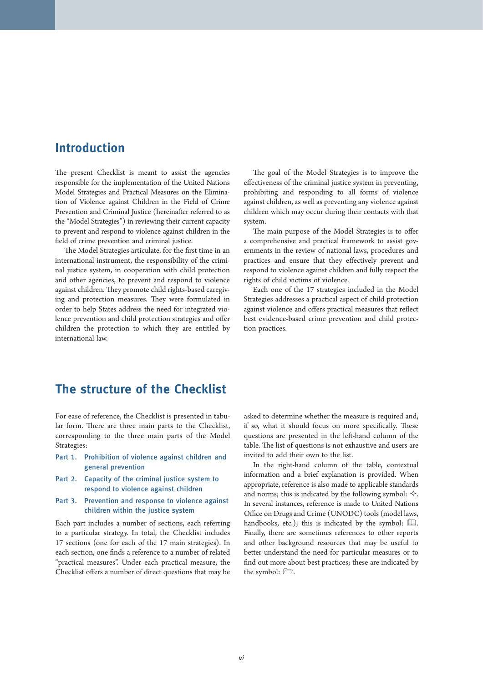### **Introduction**

The present Checklist is meant to assist the agencies responsible for the implementation of the United Nations Model Strategies and Practical Measures on the Elimination of Violence against Children in the Field of Crime Prevention and Criminal Justice (hereinafter referred to as the "Model Strategies") in reviewing their current capacity to prevent and respond to violence against children in the field of crime prevention and criminal justice.

The Model Strategies articulate, for the first time in an international instrument, the responsibility of the criminal justice system, in cooperation with child protection and other agencies, to prevent and respond to violence against children. They promote child rights-based caregiving and protection measures. They were formulated in order to help States address the need for integrated violence prevention and child protection strategies and offer children the protection to which they are entitled by international law.

The goal of the Model Strategies is to improve the effectiveness of the criminal justice system in preventing, prohibiting and responding to all forms of violence against children, as well as preventing any violence against children which may occur during their contacts with that system.

The main purpose of the Model Strategies is to offer a comprehensive and practical framework to assist governments in the review of national laws, procedures and practices and ensure that they effectively prevent and respond to violence against children and fully respect the rights of child victims of violence.

Each one of the 17 strategies included in the Model Strategies addresses a practical aspect of child protection against violence and offers practical measures that reflect best evidence-based crime prevention and child protection practices.

### **The structure of the Checklist**

For ease of reference, the Checklist is presented in tabular form. There are three main parts to the Checklist, corresponding to the three main parts of the Model Strategies:

- Part 1. Prohibition of violence against children and general prevention
- Part 2. Capacity of the criminal justice system to respond to violence against children
- Part 3. Prevention and response to violence against children within the justice system

Each part includes a number of sections, each referring to a particular strategy. In total, the Checklist includes 17 sections (one for each of the 17 main strategies). In each section, one finds a reference to a number of related "practical measures". Under each practical measure, the Checklist offers a number of direct questions that may be asked to determine whether the measure is required and, if so, what it should focus on more specifically. These questions are presented in the left-hand column of the table. The list of questions is not exhaustive and users are invited to add their own to the list.

In the right-hand column of the table, contextual information and a brief explanation is provided. When appropriate, reference is also made to applicable standards and norms; this is indicated by the following symbol:  $\Diamond$ . In several instances, reference is made to United Nations Office on Drugs and Crime (UNODC) tools (model laws, handbooks, etc.); this is indicated by the symbol:  $\Box\Box$ . Finally, there are sometimes references to other reports and other background resources that may be useful to better understand the need for particular measures or to find out more about best practices; these are indicated by the symbol:  $\Box$ .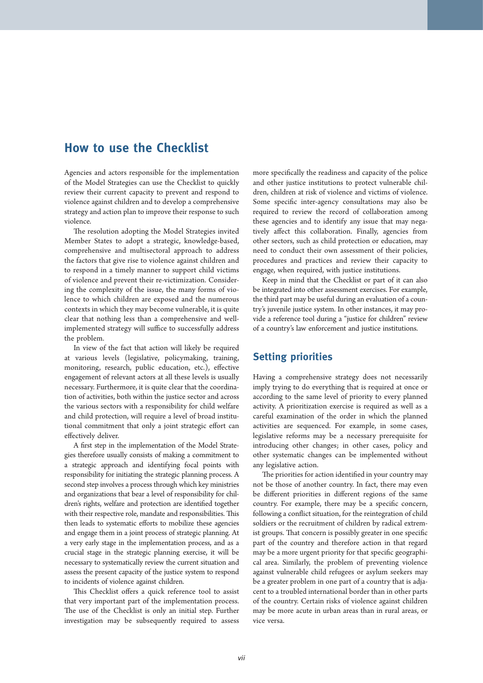### **How to use the Checklist**

Agencies and actors responsible for the implementation of the Model Strategies can use the Checklist to quickly review their current capacity to prevent and respond to violence against children and to develop a comprehensive strategy and action plan to improve their response to such violence.

The resolution adopting the Model Strategies invited Member States to adopt a strategic, knowledge-based, comprehensive and multisectoral approach to address the factors that give rise to violence against children and to respond in a timely manner to support child victims of violence and prevent their re-victimization. Considering the complexity of the issue, the many forms of violence to which children are exposed and the numerous contexts in which they may become vulnerable, it is quite clear that nothing less than a comprehensive and wellimplemented strategy will suffice to successfully address the problem.

In view of the fact that action will likely be required at various levels (legislative, policymaking, training, monitoring, research, public education, etc.), effective engagement of relevant actors at all these levels is usually necessary. Furthermore, it is quite clear that the coordination of activities, both within the justice sector and across the various sectors with a responsibility for child welfare and child protection, will require a level of broad institutional commitment that only a joint strategic effort can effectively deliver.

A first step in the implementation of the Model Strategies therefore usually consists of making a commitment to a strategic approach and identifying focal points with responsibility for initiating the strategic planning process. A second step involves a process through which key ministries and organizations that bear a level of responsibility for children's rights, welfare and protection are identified together with their respective role, mandate and responsibilities. This then leads to systematic efforts to mobilize these agencies and engage them in a joint process of strategic planning. At a very early stage in the implementation process, and as a crucial stage in the strategic planning exercise, it will be necessary to systematically review the current situation and assess the present capacity of the justice system to respond to incidents of violence against children.

This Checklist offers a quick reference tool to assist that very important part of the implementation process. The use of the Checklist is only an initial step. Further investigation may be subsequently required to assess more specifically the readiness and capacity of the police and other justice institutions to protect vulnerable children, children at risk of violence and victims of violence. Some specific inter-agency consultations may also be required to review the record of collaboration among these agencies and to identify any issue that may negatively affect this collaboration. Finally, agencies from other sectors, such as child protection or education, may need to conduct their own assessment of their policies, procedures and practices and review their capacity to engage, when required, with justice institutions.

Keep in mind that the Checklist or part of it can also be integrated into other assessment exercises. For example, the third part may be useful during an evaluation of a country's juvenile justice system. In other instances, it may provide a reference tool during a "justice for children" review of a country's law enforcement and justice institutions.

### **Setting priorities**

Having a comprehensive strategy does not necessarily imply trying to do everything that is required at once or according to the same level of priority to every planned activity. A prioritization exercise is required as well as a careful examination of the order in which the planned activities are sequenced. For example, in some cases, legislative reforms may be a necessary prerequisite for introducing other changes; in other cases, policy and other systematic changes can be implemented without any legislative action.

The priorities for action identified in your country may not be those of another country. In fact, there may even be different priorities in different regions of the same country. For example, there may be a specific concern, following a conflict situation, for the reintegration of child soldiers or the recruitment of children by radical extremist groups. That concern is possibly greater in one specific part of the country and therefore action in that regard may be a more urgent priority for that specific geographical area. Similarly, the problem of preventing violence against vulnerable child refugees or asylum seekers may be a greater problem in one part of a country that is adjacent to a troubled international border than in other parts of the country. Certain risks of violence against children may be more acute in urban areas than in rural areas, or vice versa.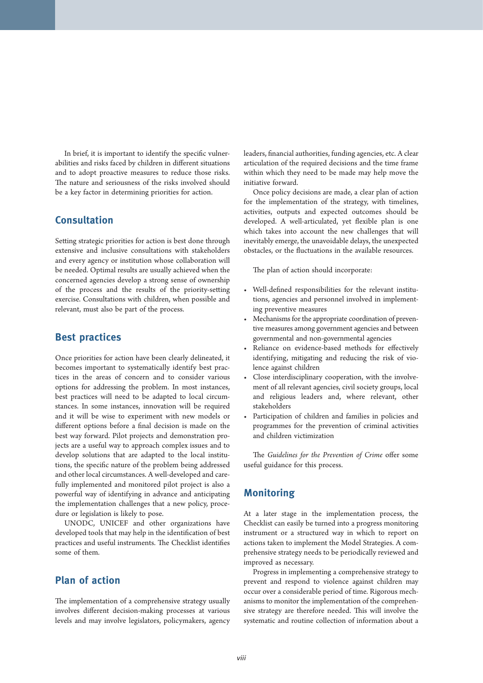In brief, it is important to identify the specific vulnerabilities and risks faced by children in different situations and to adopt proactive measures to reduce those risks. The nature and seriousness of the risks involved should be a key factor in determining priorities for action.

#### **Consultation**

Setting strategic priorities for action is best done through extensive and inclusive consultations with stakeholders and every agency or institution whose collaboration will be needed. Optimal results are usually achieved when the concerned agencies develop a strong sense of ownership of the process and the results of the priority-setting exercise. Consultations with children, when possible and relevant, must also be part of the process.

#### **Best practices**

Once priorities for action have been clearly delineated, it becomes important to systematically identify best practices in the areas of concern and to consider various options for addressing the problem. In most instances, best practices will need to be adapted to local circumstances. In some instances, innovation will be required and it will be wise to experiment with new models or different options before a final decision is made on the best way forward. Pilot projects and demonstration projects are a useful way to approach complex issues and to develop solutions that are adapted to the local institutions, the specific nature of the problem being addressed and other local circumstances. A well-developed and carefully implemented and monitored pilot project is also a powerful way of identifying in advance and anticipating the implementation challenges that a new policy, procedure or legislation is likely to pose.

UNODC, UNICEF and other organizations have developed tools that may help in the identification of best practices and useful instruments. The Checklist identifies some of them.

### **Plan of action**

The implementation of a comprehensive strategy usually involves different decision-making processes at various levels and may involve legislators, policymakers, agency leaders, financial authorities, funding agencies, etc. A clear articulation of the required decisions and the time frame within which they need to be made may help move the initiative forward.

Once policy decisions are made, a clear plan of action for the implementation of the strategy, with timelines, activities, outputs and expected outcomes should be developed. A well-articulated, yet flexible plan is one which takes into account the new challenges that will inevitably emerge, the unavoidable delays, the unexpected obstacles, or the fluctuations in the available resources.

The plan of action should incorporate:

- Well-defined responsibilities for the relevant institutions, agencies and personnel involved in implementing preventive measures
- Mechanisms for the appropriate coordination of preventive measures among government agencies and between governmental and non-governmental agencies
- Reliance on evidence-based methods for effectively identifying, mitigating and reducing the risk of violence against children
- Close interdisciplinary cooperation, with the involvement of all relevant agencies, civil society groups, local and religious leaders and, where relevant, other stakeholders
- Participation of children and families in policies and programmes for the prevention of criminal activities and children victimization

The *Guidelines for the Prevention of Crime* offer some useful guidance for this process.

#### **Monitoring**

At a later stage in the implementation process, the Checklist can easily be turned into a progress monitoring instrument or a structured way in which to report on actions taken to implement the Model Strategies. A comprehensive strategy needs to be periodically reviewed and improved as necessary.

Progress in implementing a comprehensive strategy to prevent and respond to violence against children may occur over a considerable period of time. Rigorous mechanisms to monitor the implementation of the comprehensive strategy are therefore needed. This will involve the systematic and routine collection of information about a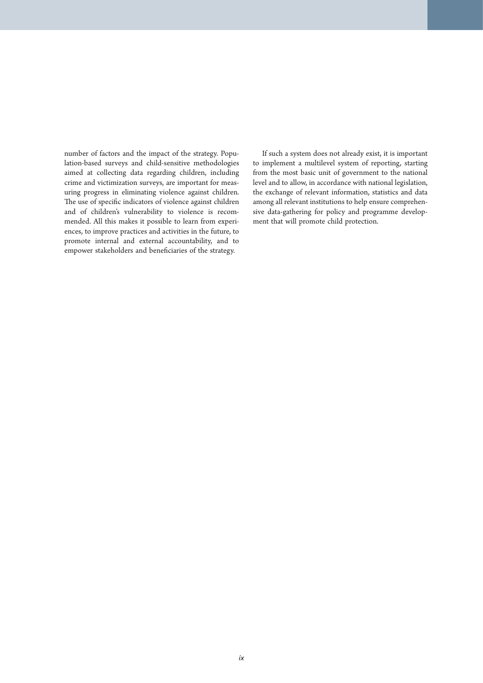number of factors and the impact of the strategy. Population-based surveys and child-sensitive methodologies aimed at collecting data regarding children, including crime and victimization surveys, are important for measuring progress in eliminating violence against children. The use of specific indicators of violence against children and of children's vulnerability to violence is recommended. All this makes it possible to learn from experiences, to improve practices and activities in the future, to promote internal and external accountability, and to empower stakeholders and beneficiaries of the strategy.

If such a system does not already exist, it is important to implement a multilevel system of reporting, starting from the most basic unit of government to the national level and to allow, in accordance with national legislation, the exchange of relevant information, statistics and data among all relevant institutions to help ensure comprehensive data-gathering for policy and programme development that will promote child protection.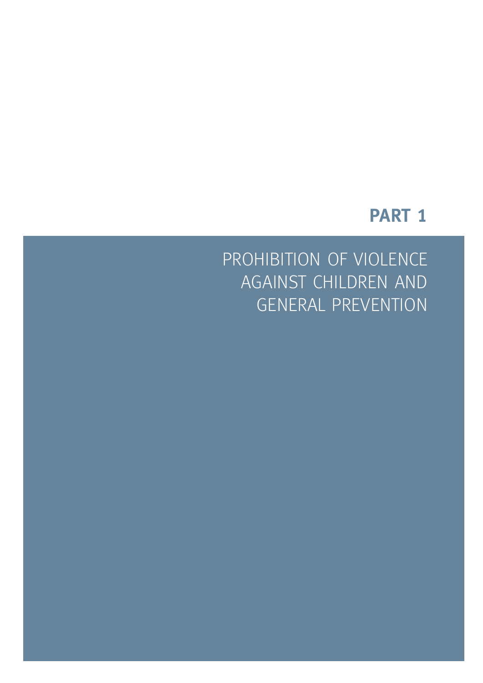## **PART 1**

PROHIBITION OF VIOLENCE AGAINST CHILDREN AND GENERAL PREVENTION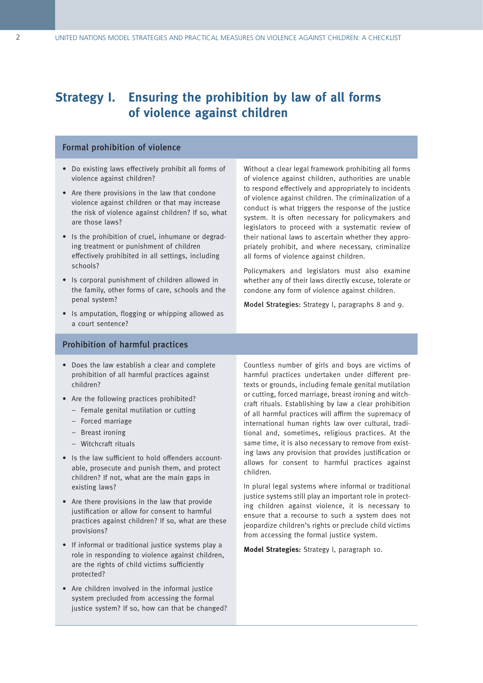### **Strategy I. Ensuring the prohibition by law of all forms of violence against children**

#### Formal prohibition of violence

- Do existing laws effectively prohibit all forms of violence against children?
- Are there provisions in the law that condone violence against children or that may increase the risk of violence against children? If so, what are those laws?
- Is the prohibition of cruel, inhumane or degrading treatment or punishment of children effectively prohibited in all settings, including schools?
- Is corporal punishment of children allowed in the family, other forms of care, schools and the penal system?
- Is amputation, flogging or whipping allowed as a court sentence?

Without a clear legal framework prohibiting all forms of violence against children, authorities are unable to respond effectively and appropriately to incidents of violence against children. The criminalization of a conduct is what triggers the response of the justice system. It is often necessary for policymakers and legislators to proceed with a systematic review of their national laws to ascertain whether they appropriately prohibit, and where necessary, criminalize all forms of violence against children.

Policymakers and legislators must also examine whether any of their laws directly excuse, tolerate or condone any form of violence against children.

Model Strategies: Strategy I, paragraphs 8 and 9.

#### Prohibition of harmful practices

- Does the law establish a clear and complete prohibition of all harmful practices against children?
- Are the following practices prohibited?
	- Female genital mutilation or cutting
	- Forced marriage
	- Breast ironing
	- Witchcraft rituals
- Is the law sufficient to hold offenders accountable, prosecute and punish them, and protect children? If not, what are the main gaps in existing laws?
- Are there provisions in the law that provide justification or allow for consent to harmful practices against children? If so, what are these provisions?
- If informal or traditional justice systems play a role in responding to violence against children, are the rights of child victims sufficiently protected?
- Are children involved in the informal justice system precluded from accessing the formal justice system? If so, how can that be changed?

Countless number of girls and boys are victims of harmful practices undertaken under different pretexts or grounds, including female genital mutilation or cutting, forced marriage, breast ironing and witchcraft rituals. Establishing by law a clear prohibition of all harmful practices will affirm the supremacy of international human rights law over cultural, traditional and, sometimes, religious practices. At the same time, it is also necessary to remove from existing laws any provision that provides justification or allows for consent to harmful practices against children.

In plural legal systems where informal or traditional justice systems still play an important role in protecting children against violence, it is necessary to ensure that a recourse to such a system does not jeopardize children's rights or preclude child victims from accessing the formal justice system.

**Model Strategies:** Strategy I, paragraph 10.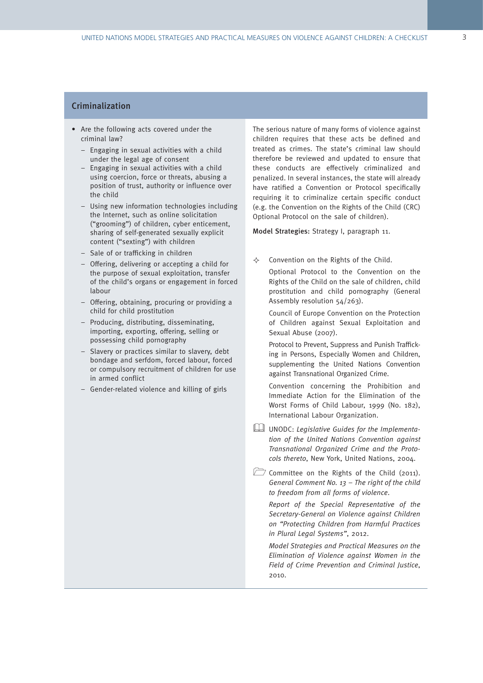#### **Criminalization**

- Are the following acts covered under the criminal law?
	- Engaging in sexual activities with a child under the legal age of consent
	- Engaging in sexual activities with a child using coercion, force or threats, abusing a position of trust, authority or influence over the child
	- Using new information technologies including the Internet, such as online solicitation ("grooming") of children, cyber enticement, sharing of self-generated sexually explicit content ("sexting") with children
	- Sale of or trafficking in children
	- Offering, delivering or accepting a child for the purpose of sexual exploitation, transfer of the child's organs or engagement in forced labour
	- Offering, obtaining, procuring or providing a child for child prostitution
	- Producing, distributing, disseminating, importing, exporting, offering, selling or possessing child pornography
	- Slavery or practices similar to slavery, debt bondage and serfdom, forced labour, forced or compulsory recruitment of children for use in armed conflict
	- Gender-related violence and killing of girls

The serious nature of many forms of violence against children requires that these acts be defined and treated as crimes. The state's criminal law should therefore be reviewed and updated to ensure that these conducts are effectively criminalized and penalized. In several instances, the state will already have ratified a Convention or Protocol specifically requiring it to criminalize certain specific conduct (e.g. the Convention on the Rights of the Child (CRC) Optional Protocol on the sale of children).

Model Strategies: Strategy I, paragraph 11.

 $\Leftrightarrow$  Convention on the Rights of the Child.

Optional Protocol to the Convention on the Rights of the Child on the sale of children, child prostitution and child pornography (General Assembly resolution 54/263).

Council of Europe Convention on the Protection of Children against Sexual Exploitation and Sexual Abuse (2007).

Protocol to Prevent, Suppress and Punish Trafficking in Persons, Especially Women and Children, supplementing the United Nations Convention against Transnational Organized Crime.

Convention concerning the Prohibition and Immediate Action for the Elimination of the Worst Forms of Child Labour, 1999 (No. 182), International Labour Organization.

UNODC: Legislative Guides for the Implementation of the United Nations Convention against Transnational Organized Crime and the Protocols thereto, New York, United Nations, 2004.

Committee on the Rights of the Child (2011). General Comment No. 13 – The right of the child to freedom from all forms of violence.

Report of the Special Representative of the Secretary-General on Violence against Children on "Protecting Children from Harmful Practices in Plural Legal Systems", 2012.

Model Strategies and Practical Measures on the Elimination of Violence against Women in the Field of Crime Prevention and Criminal Justice, 2010.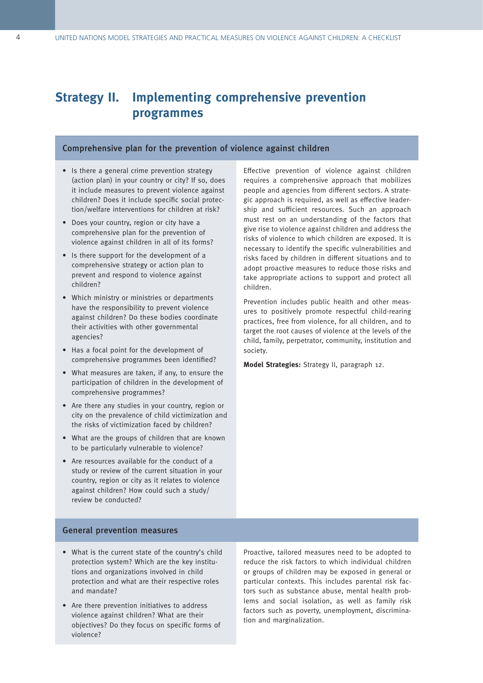### **Strategy II. Implementing comprehensive prevention programmes**

#### Comprehensive plan for the prevention of violence against children

- Is there a general crime prevention strategy (action plan) in your country or city? If so, does it include measures to prevent violence against children? Does it include specific social protection/welfare interventions for children at risk?
- Does your country, region or city have a comprehensive plan for the prevention of violence against children in all of its forms?
- Is there support for the development of a comprehensive strategy or action plan to prevent and respond to violence against children?
- Which ministry or ministries or departments have the responsibility to prevent violence against children? Do these bodies coordinate their activities with other governmental agencies?
- Has a focal point for the development of comprehensive programmes been identified?
- What measures are taken, if any, to ensure the participation of children in the development of comprehensive programmes?
- Are there any studies in your country, region or city on the prevalence of child victimization and the risks of victimization faced by children?
- What are the groups of children that are known to be particularly vulnerable to violence?
- Are resources available for the conduct of a study or review of the current situation in your country, region or city as it relates to violence against children? How could such a study/ review be conducted?

Effective prevention of violence against children requires a comprehensive approach that mobilizes people and agencies from different sectors. A strategic approach is required, as well as effective leadership and sufficient resources. Such an approach must rest on an understanding of the factors that give rise to violence against children and address the risks of violence to which children are exposed. It is necessary to identify the specific vulnerabilities and risks faced by children in different situations and to adopt proactive measures to reduce those risks and take appropriate actions to support and protect all children.

Prevention includes public health and other measures to positively promote respectful child-rearing practices, free from violence, for all children, and to target the root causes of violence at the levels of the child, family, perpetrator, community, institution and society.

**Model Strategies:** Strategy II, paragraph 12.

#### General prevention measures

- What is the current state of the country's child protection system? Which are the key institutions and organizations involved in child protection and what are their respective roles and mandate?
- Are there prevention initiatives to address violence against children? What are their objectives? Do they focus on specific forms of violence?

Proactive, tailored measures need to be adopted to reduce the risk factors to which individual children or groups of children may be exposed in general or particular contexts. This includes parental risk factors such as substance abuse, mental health problems and social isolation, as well as family risk factors such as poverty, unemployment, discrimination and marginalization.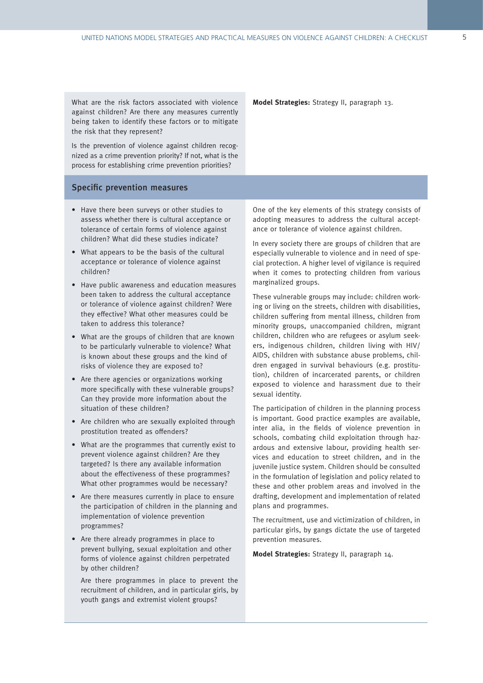What are the risk factors associated with violence against children? Are there any measures currently being taken to identify these factors or to mitigate the risk that they represent?

Is the prevention of violence against children recognized as a crime prevention priority? If not, what is the process for establishing crime prevention priorities?

#### Specific prevention measures

- Have there been surveys or other studies to assess whether there is cultural acceptance or tolerance of certain forms of violence against children? What did these studies indicate?
- What appears to be the basis of the cultural acceptance or tolerance of violence against children?
- Have public awareness and education measures been taken to address the cultural acceptance or tolerance of violence against children? Were they effective? What other measures could be taken to address this tolerance?
- What are the groups of children that are known to be particularly vulnerable to violence? What is known about these groups and the kind of risks of violence they are exposed to?
- Are there agencies or organizations working more specifically with these vulnerable groups? Can they provide more information about the situation of these children?
- Are children who are sexually exploited through prostitution treated as offenders?
- What are the programmes that currently exist to prevent violence against children? Are they targeted? Is there any available information about the effectiveness of these programmes? What other programmes would be necessary?
- Are there measures currently in place to ensure the participation of children in the planning and implementation of violence prevention programmes?
- Are there already programmes in place to prevent bullying, sexual exploitation and other forms of violence against children perpetrated by other children?

Are there programmes in place to prevent the recruitment of children, and in particular girls, by youth gangs and extremist violent groups?

**Model Strategies:** Strategy II, paragraph 13.

One of the key elements of this strategy consists of adopting measures to address the cultural acceptance or tolerance of violence against children.

In every society there are groups of children that are especially vulnerable to violence and in need of special protection. A higher level of vigilance is required when it comes to protecting children from various marginalized groups.

These vulnerable groups may include: children working or living on the streets, children with disabilities, children suffering from mental illness, children from minority groups, unaccompanied children, migrant children, children who are refugees or asylum seekers, indigenous children, children living with HIV/ AIDS, children with substance abuse problems, children engaged in survival behaviours (e.g. prostitution), children of incarcerated parents, or children exposed to violence and harassment due to their sexual identity.

The participation of children in the planning process is important. Good practice examples are available, inter alia, in the fields of violence prevention in schools, combating child exploitation through hazardous and extensive labour, providing health services and education to street children, and in the juvenile justice system. Children should be consulted in the formulation of legislation and policy related to these and other problem areas and involved in the drafting, development and implementation of related plans and programmes.

The recruitment, use and victimization of children, in particular girls, by gangs dictate the use of targeted prevention measures.

**Model Strategies:** Strategy II, paragraph 14.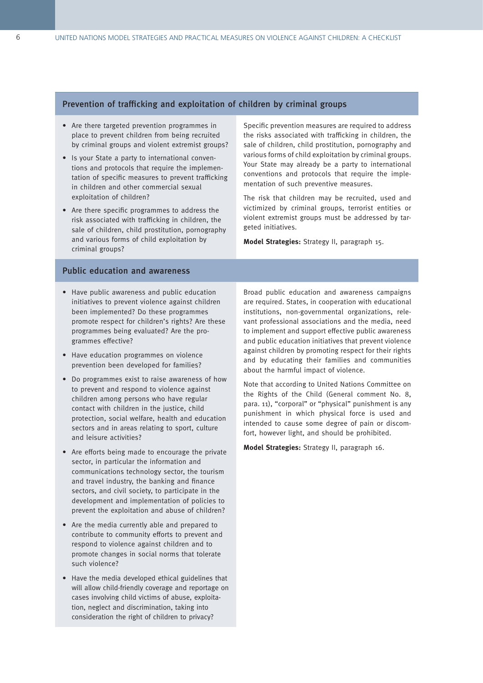#### Prevention of trafficking and exploitation of children by criminal groups

- Are there targeted prevention programmes in place to prevent children from being recruited by criminal groups and violent extremist groups?
- Is your State a party to international conventions and protocols that require the implementation of specific measures to prevent trafficking in children and other commercial sexual exploitation of children?
- Are there specific programmes to address the risk associated with trafficking in children, the sale of children, child prostitution, pornography and various forms of child exploitation by criminal groups?

Specific prevention measures are required to address the risks associated with trafficking in children, the sale of children, child prostitution, pornography and various forms of child exploitation by criminal groups. Your State may already be a party to international conventions and protocols that require the implementation of such preventive measures.

The risk that children may be recruited, used and victimized by criminal groups, terrorist entities or violent extremist groups must be addressed by targeted initiatives.

**Model Strategies:** Strategy II, paragraph 15.

#### Public education and awareness

- Have public awareness and public education initiatives to prevent violence against children been implemented? Do these programmes promote respect for children's rights? Are these programmes being evaluated? Are the programmes effective?
- Have education programmes on violence prevention been developed for families?
- Do programmes exist to raise awareness of how to prevent and respond to violence against children among persons who have regular contact with children in the justice, child protection, social welfare, health and education sectors and in areas relating to sport, culture and leisure activities?
- Are efforts being made to encourage the private sector, in particular the information and communications technology sector, the tourism and travel industry, the banking and finance sectors, and civil society, to participate in the development and implementation of policies to prevent the exploitation and abuse of children?
- Are the media currently able and prepared to contribute to community efforts to prevent and respond to violence against children and to promote changes in social norms that tolerate such violence?
- Have the media developed ethical guidelines that will allow child-friendly coverage and reportage on cases involving child victims of abuse, exploitation, neglect and discrimination, taking into consideration the right of children to privacy?

Broad public education and awareness campaigns are required. States, in cooperation with educational institutions, non-governmental organizations, relevant professional associations and the media, need to implement and support effective public awareness and public education initiatives that prevent violence against children by promoting respect for their rights and by educating their families and communities about the harmful impact of violence.

Note that according to United Nations Committee on the Rights of the Child (General comment No. 8, para. 11), "corporal" or "physical" punishment is any punishment in which physical force is used and intended to cause some degree of pain or discomfort, however light, and should be prohibited.

**Model Strategies:** Strategy II, paragraph 16.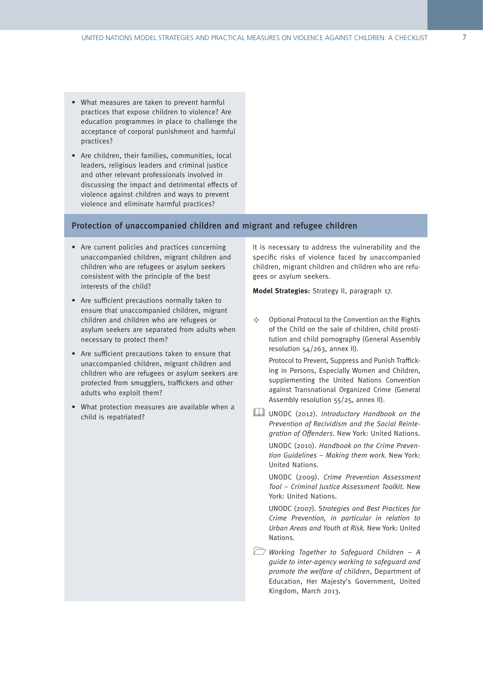- What measures are taken to prevent harmful practices that expose children to violence? Are education programmes in place to challenge the acceptance of corporal punishment and harmful practices?
- Are children, their families, communities, local leaders, religious leaders and criminal justice and other relevant professionals involved in discussing the impact and detrimental effects of violence against children and ways to prevent violence and eliminate harmful practices?

#### Protection of unaccompanied children and migrant and refugee children

- Are current policies and practices concerning unaccompanied children, migrant children and children who are refugees or asylum seekers consistent with the principle of the best interests of the child?
- Are sufficient precautions normally taken to ensure that unaccompanied children, migrant children and children who are refugees or asylum seekers are separated from adults when necessary to protect them?
- Are sufficient precautions taken to ensure that unaccompanied children, migrant children and children who are refugees or asylum seekers are protected from smugglers, traffickers and other adults who exploit them?
- What protection measures are available when a child is repatriated?

It is necessary to address the vulnerability and the specific risks of violence faced by unaccompanied children, migrant children and children who are refugees or asylum seekers.

**Model Strategies:** Strategy II, paragraph 17.

 $\diamond$  Optional Protocol to the Convention on the Rights of the Child on the sale of children, child prostitution and child pornography (General Assembly resolution 54/263, annex II).

Protocol to Prevent, Suppress and Punish Trafficking in Persons, Especially Women and Children, supplementing the United Nations Convention against Transnational Organized Crime (General Assembly resolution 55/25, annex II).

UNODC (2012). Introductory Handbook on the Prevention of Recividism and the Social Reintegration of Offenders. New York: United Nations.

UNODC (2010). Handbook on the Crime Prevention Guidelines – Making them work. New York: United Nations.

UNODC (2009). Crime Prevention Assessment Tool – Criminal Justice Assessment Toolkit. New York: United Nations.

UNODC (2007). Strategies and Best Practices for Crime Prevention, in particular in relation to Urban Areas and Youth at Risk. New York: United Nations.

**Working Together to Safeguard Children - A** guide to inter-agency working to safeguard and promote the welfare of children, Department of Education, Her Majesty's Government, United Kingdom, March 2013.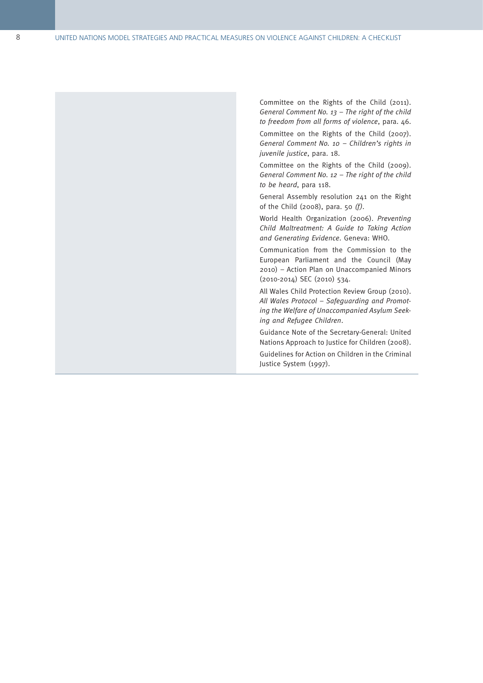Committee on the Rights of the Child (2011) . General Comment No. 13 – The right of the child to freedom from all forms of violence, para . 46 .

Committee on the Rights of the Child (2007) . General Comment No. 10 – Children's rights in juvenile justice, para. 18.

Committee on the Rights of the Child (2009) . General Comment No. 12 – The right of the child to be heard, para 118 .

General Assembly resolution 241 on the Right of the Child (2008), para. 50  $(f)$ .

World Health Organization (2006) . Preventing Child Maltreatment: A Guide to Taking Action and Generating Evidence. Geneva: WHO.

Communication from the Commission to the European Parliament and the Council (May 2010) – Action Plan on Unaccompanied Minors (2010-2014) SEC (2010) 534 .

All Wales Child Protection Review Group (2010) . All Wales Protocol – Safeguarding and Promot ing the Welfare of Unaccompanied Asylum Seek ing and Refugee Children .

Guidance Note of the Secretary-General: United Nations Approach to Justice for Children (2008) .

Guidelines for Action on Children in the Criminal Justice System (1997) .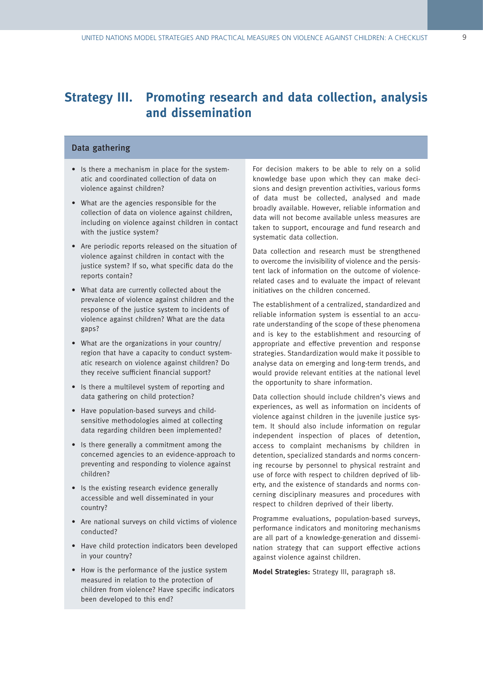### **Strategy III. Promoting research and data collection, analysis and dissemination**

#### Data gathering

- Is there a mechanism in place for the systematic and coordinated collection of data on violence against children?
- What are the agencies responsible for the collection of data on violence against children, including on violence against children in contact with the justice system?
- Are periodic reports released on the situation of violence against children in contact with the justice system? If so, what specific data do the reports contain?
- What data are currently collected about the prevalence of violence against children and the response of the justice system to incidents of violence against children? What are the data gaps?
- What are the organizations in your country/ region that have a capacity to conduct systematic research on violence against children? Do they receive sufficient financial support?
- Is there a multilevel system of reporting and data gathering on child protection?
- Have population-based surveys and childsensitive methodologies aimed at collecting data regarding children been implemented?
- Is there generally a commitment among the concerned agencies to an evidence-approach to preventing and responding to violence against children?
- Is the existing research evidence generally accessible and well disseminated in your country?
- Are national surveys on child victims of violence conducted?
- Have child protection indicators been developed in your country?
- How is the performance of the justice system measured in relation to the protection of children from violence? Have specific indicators been developed to this end?

For decision makers to be able to rely on a solid knowledge base upon which they can make decisions and design prevention activities, various forms of data must be collected, analysed and made broadly available. However, reliable information and data will not become available unless measures are taken to support, encourage and fund research and systematic data collection.

Data collection and research must be strengthened to overcome the invisibility of violence and the persistent lack of information on the outcome of violencerelated cases and to evaluate the impact of relevant initiatives on the children concerned.

The establishment of a centralized, standardized and reliable information system is essential to an accurate understanding of the scope of these phenomena and is key to the establishment and resourcing of appropriate and effective prevention and response strategies. Standardization would make it possible to analyse data on emerging and long-term trends, and would provide relevant entities at the national level the opportunity to share information.

Data collection should include children's views and experiences, as well as information on incidents of violence against children in the juvenile justice system. It should also include information on regular independent inspection of places of detention, access to complaint mechanisms by children in detention, specialized standards and norms concerning recourse by personnel to physical restraint and use of force with respect to children deprived of liberty, and the existence of standards and norms concerning disciplinary measures and procedures with respect to children deprived of their liberty.

Programme evaluations, population-based surveys, performance indicators and monitoring mechanisms are all part of a knowledge-generation and dissemination strategy that can support effective actions against violence against children.

**Model Strategies:** Strategy III, paragraph 18.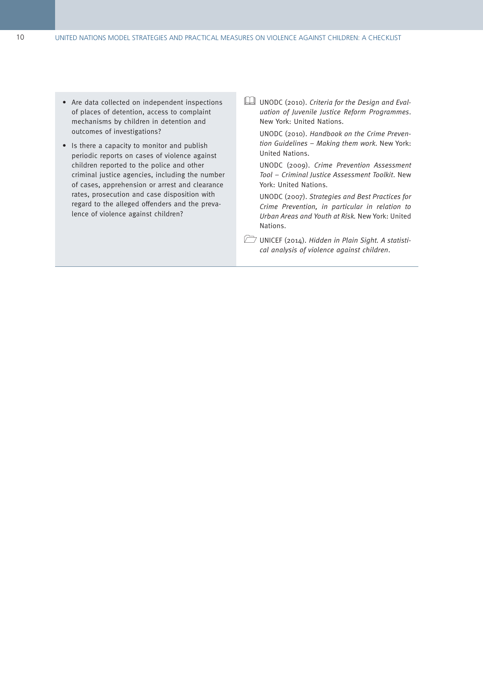- Are data collected on independent inspections of places of detention, access to complaint mechanisms by children in detention and outcomes of investigations?
- Is there a capacity to monitor and publish periodic reports on cases of violence against children reported to the police and other criminal justice agencies, including the number of cases, apprehension or arrest and clearance rates, prosecution and case disposition with regard to the alleged offenders and the prevalence of violence against children?
- UNODC (2010). Criteria for the Design and Evaluation of Juvenile Justice Reform Programmes. New York: United Nations.

UNODC (2010). Handbook on the Crime Prevention Guidelines – Making them work. New York: United Nations.

UNODC (2009). Crime Prevention Assessment Tool – Criminal Justice Assessment Toolkit. New York: United Nations.

UNODC (2007). Strategies and Best Practices for Crime Prevention, in particular in relation to Urban Areas and Youth at Risk. New York: United Nations.

UNICEF (2014). Hidden in Plain Sight. A statistical analysis of violence against children.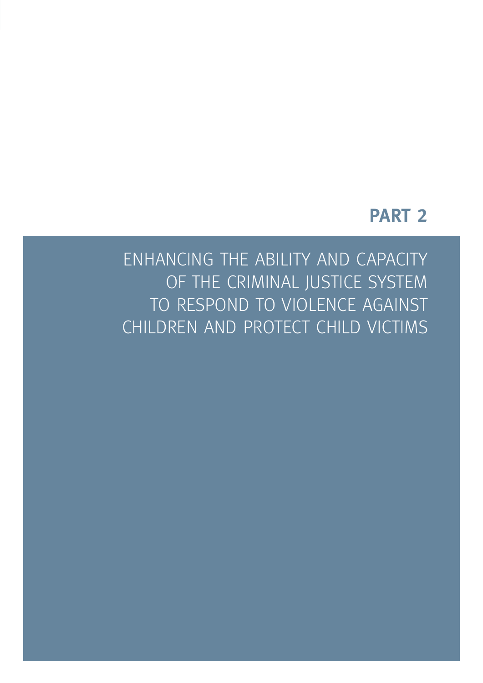## **PART 2**

ENHANCING THE ABILITY AND CAPACITY OF THE CRIMINAL JUSTICE SYSTEM TO RESPOND TO VIOLENCE AGAINST CHILDREN AND PROTECT CHILD VICTIMS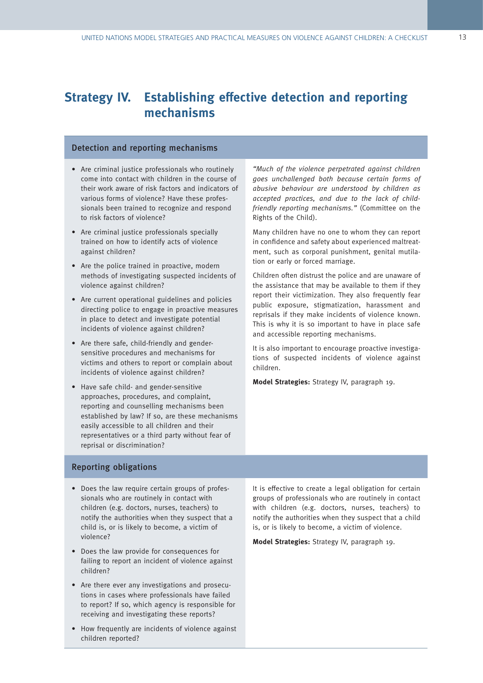### **Strategy IV. Establishing effective detection and reporting mechanisms**

#### Detection and reporting mechanisms

- Are criminal justice professionals who routinely come into contact with children in the course of their work aware of risk factors and indicators of various forms of violence? Have these professionals been trained to recognize and respond to risk factors of violence?
- Are criminal justice professionals specially trained on how to identify acts of violence against children?
- Are the police trained in proactive, modern methods of investigating suspected incidents of violence against children?
- Are current operational guidelines and policies directing police to engage in proactive measures in place to detect and investigate potential incidents of violence against children?
- Are there safe, child-friendly and gendersensitive procedures and mechanisms for victims and others to report or complain about incidents of violence against children?
- Have safe child- and gender-sensitive approaches, procedures, and complaint, reporting and counselling mechanisms been established by law? If so, are these mechanisms easily accessible to all children and their representatives or a third party without fear of reprisal or discrimination?

"Much of the violence perpetrated against children goes unchallenged both because certain forms of abusive behaviour are understood by children as accepted practices, and due to the lack of childfriendly reporting mechanisms." (Committee on the Rights of the Child).

Many children have no one to whom they can report in confidence and safety about experienced maltreatment, such as corporal punishment, genital mutilation or early or forced marriage.

Children often distrust the police and are unaware of the assistance that may be available to them if they report their victimization. They also frequently fear public exposure, stigmatization, harassment and reprisals if they make incidents of violence known. This is why it is so important to have in place safe and accessible reporting mechanisms.

It is also important to encourage proactive investigations of suspected incidents of violence against children.

**Model Strategies:** Strategy IV, paragraph 19.

#### Reporting obligations

- Does the law require certain groups of professionals who are routinely in contact with children (e.g. doctors, nurses, teachers) to notify the authorities when they suspect that a child is, or is likely to become, a victim of violence?
- Does the law provide for consequences for failing to report an incident of violence against children?
- Are there ever any investigations and prosecutions in cases where professionals have failed to report? If so, which agency is responsible for receiving and investigating these reports?
- How frequently are incidents of violence against children reported?

It is effective to create a legal obligation for certain groups of professionals who are routinely in contact with children (e.g. doctors, nurses, teachers) to notify the authorities when they suspect that a child is, or is likely to become, a victim of violence.

**Model Strategies:** Strategy IV, paragraph 19.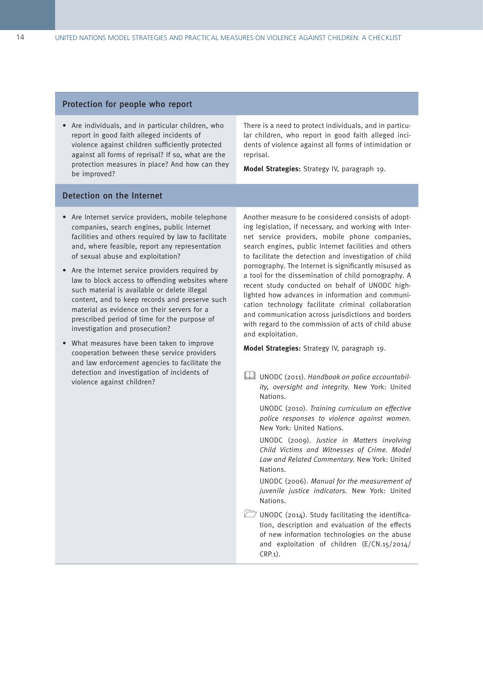#### Protection for people who report

• Are individuals, and in particular children, who report in good faith alleged incidents of violence against children sufficiently protected against all forms of reprisal? If so, what are the protection measures in place? And how can they be improved?

There is a need to protect individuals, and in particular children, who report in good faith alleged incidents of violence against all forms of intimidation or reprisal.

**Model Strategies:** Strategy IV, paragraph 19.

#### Detection on the Internet

- Are Internet service providers, mobile telephone companies, search engines, public Internet facilities and others required by law to facilitate and, where feasible, report any representation of sexual abuse and exploitation?
- Are the Internet service providers required by law to block access to offending websites where such material is available or delete illegal content, and to keep records and preserve such material as evidence on their servers for a prescribed period of time for the purpose of investigation and prosecution?
- What measures have been taken to improve cooperation between these service providers and law enforcement agencies to facilitate the detection and investigation of incidents of violence against children?

Another measure to be considered consists of adopting legislation, if necessary, and working with Internet service providers, mobile phone companies, search engines, public Internet facilities and others to facilitate the detection and investigation of child pornography. The Internet is significantly misused as a tool for the dissemination of child pornography. A recent study conducted on behalf of UNODC highlighted how advances in information and communication technology facilitate criminal collaboration and communication across jurisdictions and borders with regard to the commission of acts of child abuse and exploitation.

**Model Strategies:** Strategy IV, paragraph 19.

UNODC (2011). Handbook on police accountability, oversight and integrity. New York: United Nations.

UNODC (2010). Training curriculum on effective police responses to violence against women. New York: United Nations.

UNODC (2009). Justice in Matters involving Child Victims and Witnesses of Crime. Model Law and Related Commentary. New York: United Nations.

UNODC (2006). Manual for the measurement of juvenile justice indicators. New York: United Nations.

 $\Box$  UNODC (2014). Study facilitating the identification, description and evaluation of the effects of new information technologies on the abuse and exploitation of children (E/CN.15/2014/ CRP.1).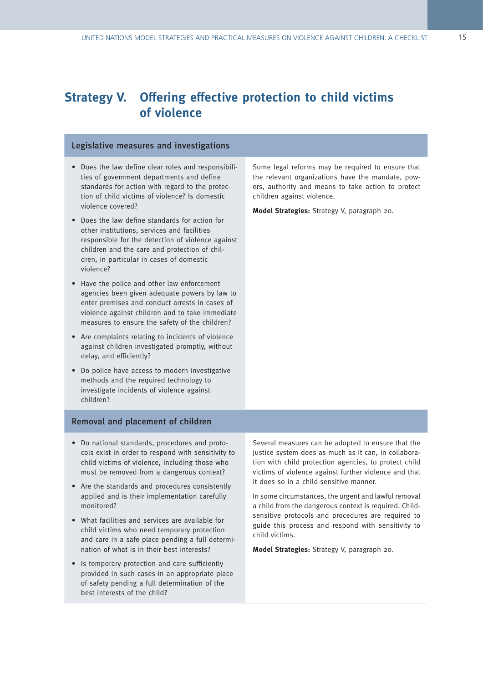### **Strategy V. Offering effective protection to child victims of violence**

#### Legislative measures and investigations

- Does the law define clear roles and responsibilities of government departments and define standards for action with regard to the protection of child victims of violence? Is domestic violence covered?
- Does the law define standards for action for other institutions, services and facilities responsible for the detection of violence against children and the care and protection of children, in particular in cases of domestic violence?
- Have the police and other law enforcement agencies been given adequate powers by law to enter premises and conduct arrests in cases of violence against children and to take immediate measures to ensure the safety of the children?
- Are complaints relating to incidents of violence against children investigated promptly, without delay, and efficiently?
- Do police have access to modern investigative methods and the required technology to investigate incidents of violence against children?

Removal and placement of children

- Do national standards, procedures and protocols exist in order to respond with sensitivity to child victims of violence, including those who must be removed from a dangerous context?
- Are the standards and procedures consistently applied and is their implementation carefully monitored?
- What facilities and services are available for child victims who need temporary protection and care in a safe place pending a full determination of what is in their best interests?
- Is temporary protection and care sufficiently provided in such cases in an appropriate place of safety pending a full determination of the best interests of the child?

Several measures can be adopted to ensure that the justice system does as much as it can, in collaboration with child protection agencies, to protect child victims of violence against further violence and that it does so in a child-sensitive manner.

In some circumstances, the urgent and lawful removal a child from the dangerous context is required. Childsensitive protocols and procedures are required to guide this process and respond with sensitivity to child victims.

**Model Strategies:** Strategy V, paragraph 20.

Some legal reforms may be required to ensure that the relevant organizations have the mandate, powers, authority and means to take action to protect children against violence.

**Model Strategies:** Strategy V, paragraph 20.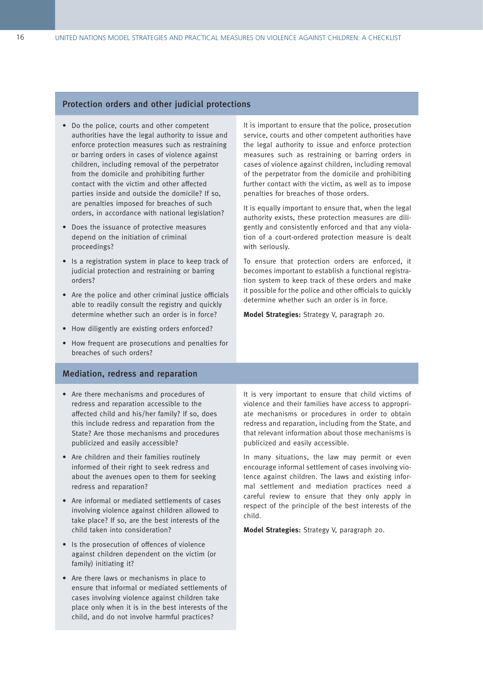#### Protection orders and other judicial protections

- Do the police, courts and other competent authorities have the legal authority to issue and enforce protection measures such as restraining or barring orders in cases of violence against children, including removal of the perpetrator from the domicile and prohibiting further contact with the victim and other affected parties inside and outside the domicile? If so, are penalties imposed for breaches of such orders, in accordance with national legislation?
- Does the issuance of protective measures depend on the initiation of criminal proceedings?
- Is a registration system in place to keep track of judicial protection and restraining or barring orders?
- Are the police and other criminal justice officials able to readily consult the registry and quickly determine whether such an order is in force?
- How diligently are existing orders enforced?
- How frequent are prosecutions and penalties for breaches of such orders?

#### It is important to ensure that the police, prosecution service, courts and other competent authorities have the legal authority to issue and enforce protection measures such as restraining or barring orders in cases of violence against children, including removal of the perpetrator from the domicile and prohibiting further contact with the victim, as well as to impose penalties for breaches of those orders.

It is equally important to ensure that, when the legal authority exists, these protection measures are diligently and consistently enforced and that any violation of a court-ordered protection measure is dealt with seriously.

To ensure that protection orders are enforced, it becomes important to establish a functional registration system to keep track of these orders and make it possible for the police and other officials to quickly determine whether such an order is in force.

**Model Strategies:** Strategy V, paragraph 20.

#### Mediation, redress and reparation

- Are there mechanisms and procedures of redress and reparation accessible to the affected child and his/her family? If so, does this include redress and reparation from the State? Are those mechanisms and procedures publicized and easily accessible?
- Are children and their families routinely informed of their right to seek redress and about the avenues open to them for seeking redress and reparation?
- Are informal or mediated settlements of cases involving violence against children allowed to take place? If so, are the best interests of the child taken into consideration?
- Is the prosecution of offences of violence against children dependent on the victim (or family) initiating it?
- Are there laws or mechanisms in place to ensure that informal or mediated settlements of cases involving violence against children take place only when it is in the best interests of the child, and do not involve harmful practices?

It is very important to ensure that child victims of violence and their families have access to appropriate mechanisms or procedures in order to obtain redress and reparation, including from the State, and that relevant information about those mechanisms is publicized and easily accessible.

In many situations, the law may permit or even encourage informal settlement of cases involving violence against children. The laws and existing informal settlement and mediation practices need a careful review to ensure that they only apply in respect of the principle of the best interests of the child.

**Model Strategies:** Strategy V, paragraph 20.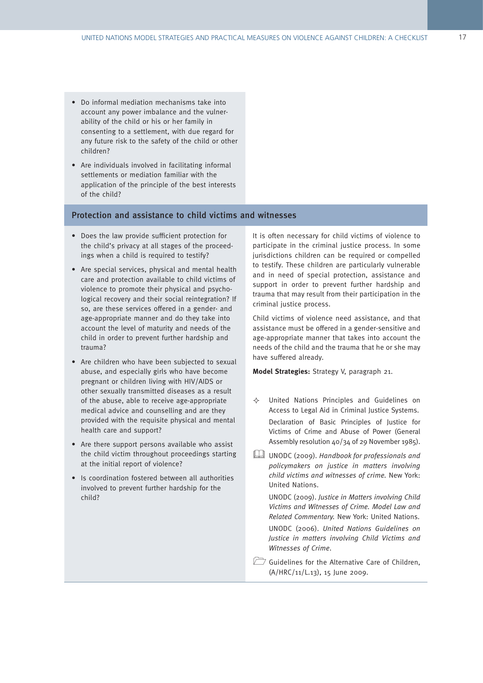- Do informal mediation mechanisms take into account any power imbalance and the vulnerability of the child or his or her family in consenting to a settlement, with due regard for any future risk to the safety of the child or other children?
- Are individuals involved in facilitating informal settlements or mediation familiar with the application of the principle of the best interests of the child?

#### Protection and assistance to child victims and witnesses

- Does the law provide sufficient protection for the child's privacy at all stages of the proceedings when a child is required to testify?
- Are special services, physical and mental health care and protection available to child victims of violence to promote their physical and psychological recovery and their social reintegration? If so, are these services offered in a gender- and age-appropriate manner and do they take into account the level of maturity and needs of the child in order to prevent further hardship and trauma?
- Are children who have been subjected to sexual abuse, and especially girls who have become pregnant or children living with HIV/AIDS or other sexually transmitted diseases as a result of the abuse, able to receive age-appropriate medical advice and counselling and are they provided with the requisite physical and mental health care and support?
- Are there support persons available who assist the child victim throughout proceedings starting at the initial report of violence?
- Is coordination fostered between all authorities involved to prevent further hardship for the child?

It is often necessary for child victims of violence to participate in the criminal justice process. In some jurisdictions children can be required or compelled to testify. These children are particularly vulnerable and in need of special protection, assistance and support in order to prevent further hardship and trauma that may result from their participation in the criminal justice process.

Child victims of violence need assistance, and that assistance must be offered in a gender-sensitive and age-appropriate manner that takes into account the needs of the child and the trauma that he or she may have suffered already.

**Model Strategies:** Strategy V, paragraph 21.

- $\Leftrightarrow$  United Nations Principles and Guidelines on Access to Legal Aid in Criminal Justice Systems. Declaration of Basic Principles of Justice for Victims of Crime and Abuse of Power (General Assembly resolution 40/34 of 29 November 1985).
- UNODC (2009). Handbook for professionals and policymakers on justice in matters involving child victims and witnesses of crime. New York: United Nations.

UNODC (2009). Justice in Matters involving Child Victims and Witnesses of Crime. Model Law and Related Commentary. New York: United Nations. UNODC (2006). United Nations Guidelines on Justice in matters involving Child Victims and Witnesses of Crime.

Guidelines for the Alternative Care of Children, (A/HRC/11/L.13), 15 June 2009.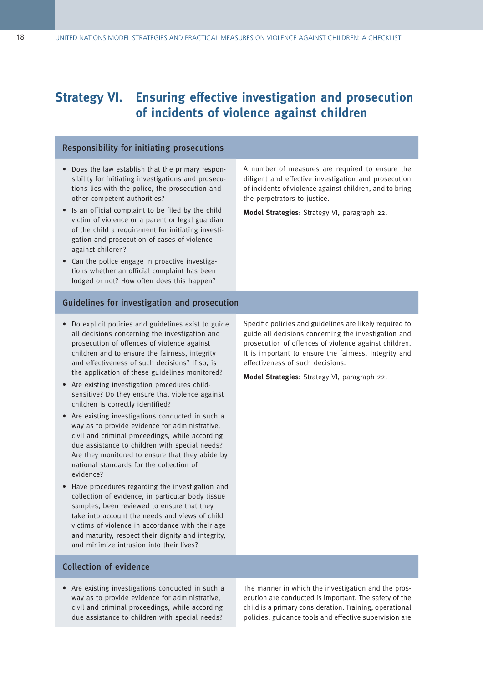### **Strategy VI. Ensuring effective investigation and prosecution of incidents of violence against children**

#### Responsibility for initiating prosecutions

- Does the law establish that the primary responsibility for initiating investigations and prosecutions lies with the police, the prosecution and other competent authorities?
- Is an official complaint to be filed by the child victim of violence or a parent or legal guardian of the child a requirement for initiating investigation and prosecution of cases of violence against children?
- Can the police engage in proactive investigations whether an official complaint has been lodged or not? How often does this happen?

#### Guidelines for investigation and prosecution

- Do explicit policies and guidelines exist to guide all decisions concerning the investigation and prosecution of offences of violence against children and to ensure the fairness, integrity and effectiveness of such decisions? If so, is the application of these guidelines monitored?
- Are existing investigation procedures childsensitive? Do they ensure that violence against children is correctly identified?
- Are existing investigations conducted in such a way as to provide evidence for administrative, civil and criminal proceedings, while according due assistance to children with special needs? Are they monitored to ensure that they abide by national standards for the collection of evidence?
- Have procedures regarding the investigation and collection of evidence, in particular body tissue samples, been reviewed to ensure that they take into account the needs and views of child victims of violence in accordance with their age and maturity, respect their dignity and integrity, and minimize intrusion into their lives?

A number of measures are required to ensure the diligent and effective investigation and prosecution of incidents of violence against children, and to bring the perpetrators to justice.

**Model Strategies:** Strategy VI, paragraph 22.

Specific policies and guidelines are likely required to guide all decisions concerning the investigation and prosecution of offences of violence against children. It is important to ensure the fairness, integrity and effectiveness of such decisions.

**Model Strategies:** Strategy VI, paragraph 22.

#### Collection of evidence

• Are existing investigations conducted in such a way as to provide evidence for administrative, civil and criminal proceedings, while according due assistance to children with special needs?

The manner in which the investigation and the prosecution are conducted is important. The safety of the child is a primary consideration. Training, operational policies, guidance tools and effective supervision are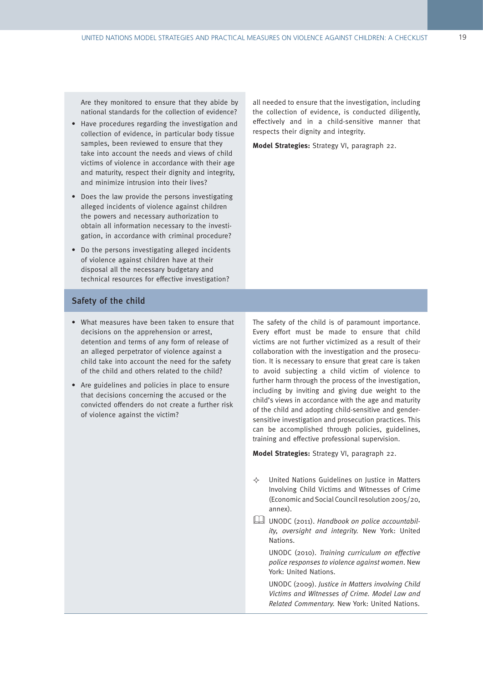Are they monitored to ensure that they abide by national standards for the collection of evidence?

- Have procedures regarding the investigation and collection of evidence, in particular body tissue samples, been reviewed to ensure that they take into account the needs and views of child victims of violence in accordance with their age and maturity, respect their dignity and integrity, and minimize intrusion into their lives?
- Does the law provide the persons investigating alleged incidents of violence against children the powers and necessary authorization to obtain all information necessary to the investigation, in accordance with criminal procedure?
- Do the persons investigating alleged incidents of violence against children have at their disposal all the necessary budgetary and technical resources for effective investigation?

all needed to ensure that the investigation, including the collection of evidence, is conducted diligently, effectively and in a child-sensitive manner that respects their dignity and integrity.

**Model Strategies:** Strategy VI, paragraph 22.

#### Safety of the child

- What measures have been taken to ensure that decisions on the apprehension or arrest, detention and terms of any form of release of an alleged perpetrator of violence against a child take into account the need for the safety of the child and others related to the child?
- Are guidelines and policies in place to ensure that decisions concerning the accused or the convicted offenders do not create a further risk of violence against the victim?

The safety of the child is of paramount importance. Every effort must be made to ensure that child victims are not further victimized as a result of their collaboration with the investigation and the prosecution. It is necessary to ensure that great care is taken to avoid subjecting a child victim of violence to further harm through the process of the investigation, including by inviting and giving due weight to the child's views in accordance with the age and maturity of the child and adopting child-sensitive and gendersensitive investigation and prosecution practices. This can be accomplished through policies, guidelines, training and effective professional supervision.

**Model Strategies:** Strategy VI, paragraph 22.

- $\Leftrightarrow$  United Nations Guidelines on Justice in Matters Involving Child Victims and Witnesses of Crime (Economic and Social Council resolution 2005/20, annex).
- UNODC (2011). Handbook on police accountability, oversight and integrity. New York: United Nations.

UNODC (2010). Training curriculum on effective police responses to violence against women. New York: United Nations.

UNODC (2009). Justice in Matters involving Child Victims and Witnesses of Crime. Model Law and Related Commentary. New York: United Nations.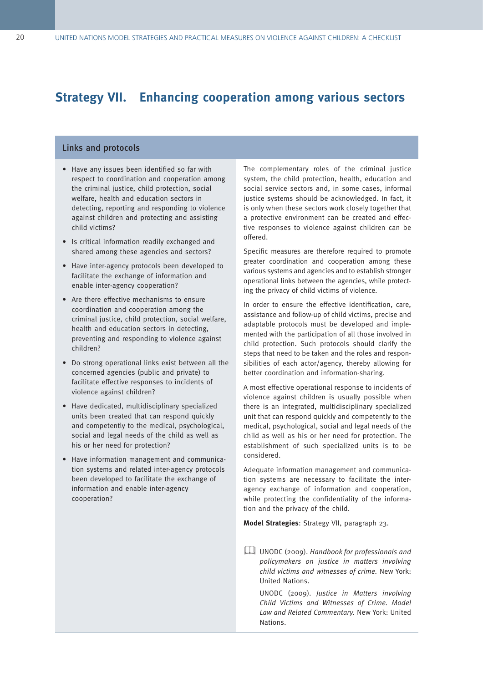### **Strategy VII. Enhancing cooperation among various sectors**

#### Links and protocols

- Have any issues been identified so far with respect to coordination and cooperation among the criminal justice, child protection, social welfare, health and education sectors in detecting, reporting and responding to violence against children and protecting and assisting child victims?
- Is critical information readily exchanged and shared among these agencies and sectors?
- Have inter-agency protocols been developed to facilitate the exchange of information and enable inter-agency cooperation?
- Are there effective mechanisms to ensure coordination and cooperation among the criminal justice, child protection, social welfare, health and education sectors in detecting, preventing and responding to violence against children?
- Do strong operational links exist between all the concerned agencies (public and private) to facilitate effective responses to incidents of violence against children?
- Have dedicated, multidisciplinary specialized units been created that can respond quickly and competently to the medical, psychological, social and legal needs of the child as well as his or her need for protection?
- Have information management and communication systems and related inter-agency protocols been developed to facilitate the exchange of information and enable inter-agency cooperation?

The complementary roles of the criminal justice system, the child protection, health, education and social service sectors and, in some cases, informal justice systems should be acknowledged. In fact, it is only when these sectors work closely together that a protective environment can be created and effective responses to violence against children can be offered.

Specific measures are therefore required to promote greater coordination and cooperation among these various systems and agencies and to establish stronger operational links between the agencies, while protecting the privacy of child victims of violence.

In order to ensure the effective identification, care, assistance and follow-up of child victims, precise and adaptable protocols must be developed and implemented with the participation of all those involved in child protection. Such protocols should clarify the steps that need to be taken and the roles and responsibilities of each actor/agency, thereby allowing for better coordination and information-sharing.

A most effective operational response to incidents of violence against children is usually possible when there is an integrated, multidisciplinary specialized unit that can respond quickly and competently to the medical, psychological, social and legal needs of the child as well as his or her need for protection. The establishment of such specialized units is to be considered.

Adequate information management and communication systems are necessary to facilitate the interagency exchange of information and cooperation, while protecting the confidentiality of the information and the privacy of the child.

**Model Strategies**: Strategy VII, paragraph 23.

UNODC (2009). Handbook for professionals and policymakers on justice in matters involving child victims and witnesses of crime. New York: United Nations.

UNODC (2009). Justice in Matters involving Child Victims and Witnesses of Crime. Model Law and Related Commentary. New York: United Nations.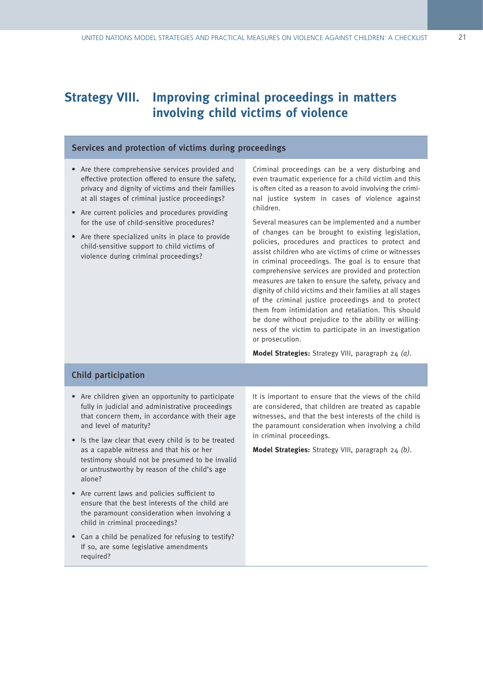### **Strategy VIII. Improving criminal proceedings in matters involving child victims of violence**

#### Services and protection of victims during proceedings

- Are there comprehensive services provided and effective protection offered to ensure the safety, privacy and dignity of victims and their families at all stages of criminal justice proceedings?
- Are current policies and procedures providing for the use of child-sensitive procedures?
- Are there specialized units in place to provide child-sensitive support to child victims of violence during criminal proceedings?

Criminal proceedings can be a very disturbing and even traumatic experience for a child victim and this is often cited as a reason to avoid involving the criminal justice system in cases of violence against children.

Several measures can be implemented and a number of changes can be brought to existing legislation, policies, procedures and practices to protect and assist children who are victims of crime or witnesses in criminal proceedings. The goal is to ensure that comprehensive services are provided and protection measures are taken to ensure the safety, privacy and dignity of child victims and their families at all stages of the criminal justice proceedings and to protect them from intimidation and retaliation. This should be done without prejudice to the ability or willingness of the victim to participate in an investigation or prosecution.

**Model Strategies:** Strategy VIII, paragraph 24 (a).

#### Child participation

- Are children given an opportunity to participate fully in judicial and administrative proceedings that concern them, in accordance with their age and level of maturity?
- Is the law clear that every child is to be treated as a capable witness and that his or her testimony should not be presumed to be invalid or untrustworthy by reason of the child's age alone?
- Are current laws and policies sufficient to ensure that the best interests of the child are the paramount consideration when involving a child in criminal proceedings?
- Can a child be penalized for refusing to testify? If so, are some legislative amendments required?

It is important to ensure that the views of the child are considered, that children are treated as capable witnesses, and that the best interests of the child is the paramount consideration when involving a child in criminal proceedings.

**Model Strategies:** Strategy VIII, paragraph 24 (b).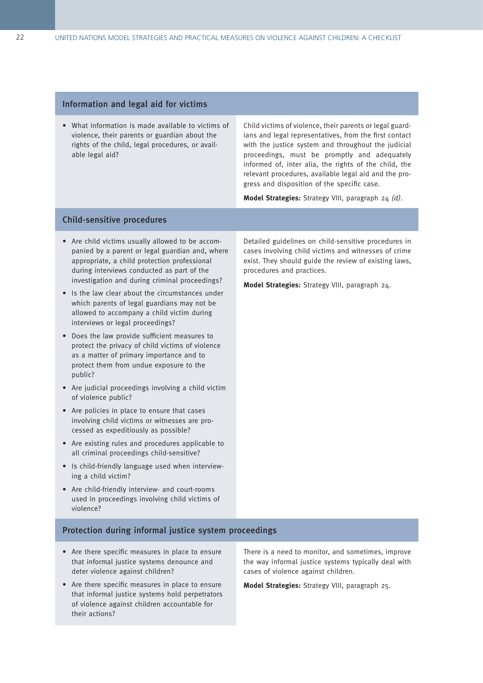#### Information and legal aid for victims

• What information is made available to victims of violence, their parents or guardian about the rights of the child, legal procedures, or available legal aid?

Child victims of violence, their parents or legal guardians and legal representatives, from the first contact with the justice system and throughout the judicial proceedings, must be promptly and adequately informed of, inter alia, the rights of the child, the relevant procedures, available legal aid and the progress and disposition of the specific case.

**Model Strategies:** Strategy VIII, paragraph 24 (d).

#### Child-sensitive procedures

- Are child victims usually allowed to be accompanied by a parent or legal guardian and, where appropriate, a child protection professional during interviews conducted as part of the investigation and during criminal proceedings?
- Is the law clear about the circumstances under which parents of legal guardians may not be allowed to accompany a child victim during interviews or legal proceedings?
- Does the law provide sufficient measures to protect the privacy of child victims of violence as a matter of primary importance and to protect them from undue exposure to the public?
- Are judicial proceedings involving a child victim of violence public?
- Are policies in place to ensure that cases involving child victims or witnesses are processed as expeditiously as possible?
- Are existing rules and procedures applicable to all criminal proceedings child-sensitive?
- Is child-friendly language used when interviewing a child victim?
- Are child-friendly interview- and court-rooms used in proceedings involving child victims of violence?

Detailed guidelines on child-sensitive procedures in cases involving child victims and witnesses of crime exist. They should guide the review of existing laws, procedures and practices.

**Model Strategies:** Strategy VIII, paragraph 24.

#### Protection during informal justice system proceedings

- Are there specific measures in place to ensure that informal justice systems denounce and deter violence against children?
- Are there specific measures in place to ensure that informal justice systems hold perpetrators of violence against children accountable for their actions?

There is a need to monitor, and sometimes, improve the way informal justice systems typically deal with cases of violence against children.

**Model Strategies:** Strategy VIII, paragraph 25.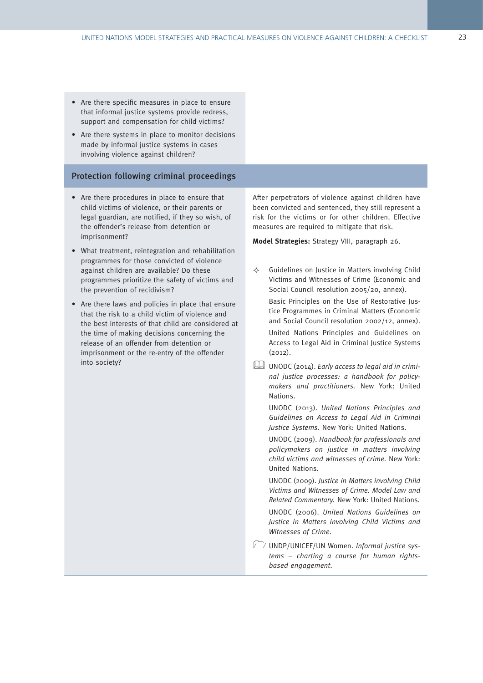- Are there specific measures in place to ensure that informal justice systems provide redress, support and compensation for child victims?
- Are there systems in place to monitor decisions made by informal justice systems in cases involving violence against children?

#### Protection following criminal proceedings

- Are there procedures in place to ensure that child victims of violence, or their parents or legal guardian, are notified, if they so wish, of the offender's release from detention or imprisonment?
- What treatment, reintegration and rehabilitation programmes for those convicted of violence against children are available? Do these programmes prioritize the safety of victims and the prevention of recidivism?
- Are there laws and policies in place that ensure that the risk to a child victim of violence and the best interests of that child are considered at the time of making decisions concerning the release of an offender from detention or imprisonment or the re-entry of the offender into society?

After perpetrators of violence against children have been convicted and sentenced, they still represent a risk for the victims or for other children. Effective measures are required to mitigate that risk.

**Model Strategies:** Strategy VIII, paragraph 26.

 $\Leftrightarrow$  Guidelines on Justice in Matters involving Child Victims and Witnesses of Crime (Economic and Social Council resolution 2005/20, annex).

Basic Principles on the Use of Restorative Justice Programmes in Criminal Matters (Economic and Social Council resolution 2002/12, annex). United Nations Principles and Guidelines on

Access to Legal Aid in Criminal Justice Systems (2012).

UNODC (2014). Early access to legal aid in criminal justice processes: a handbook for policymakers and practitioners. New York: United Nations.

UNODC (2013). United Nations Principles and Guidelines on Access to Legal Aid in Criminal Justice Systems. New York: United Nations.

UNODC (2009). Handbook for professionals and policymakers on justice in matters involving child victims and witnesses of crime. New York: United Nations.

UNODC (2009). Justice in Matters involving Child Victims and Witnesses of Crime. Model Law and Related Commentary. New York: United Nations. UNODC (2006). United Nations Guidelines on

Justice in Matters involving Child Victims and Witnesses of Crime.

UNDP/UNICEF/UN Women. Informal justice systems – charting a course for human rightsbased engagement.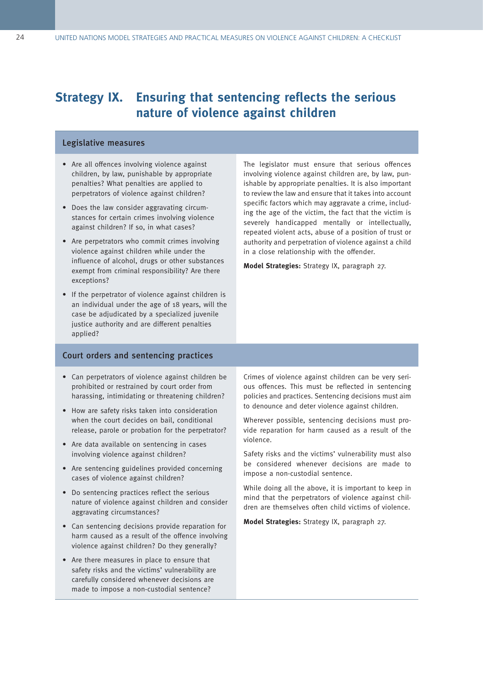### **Strategy IX. Ensuring that sentencing reflects the serious nature of violence against children**

#### Legislative measures

- Are all offences involving violence against children, by law, punishable by appropriate penalties? What penalties are applied to perpetrators of violence against children?
- Does the law consider aggravating circumstances for certain crimes involving violence against children? If so, in what cases?
- Are perpetrators who commit crimes involving violence against children while under the influence of alcohol, drugs or other substances exempt from criminal responsibility? Are there exceptions?
- If the perpetrator of violence against children is an individual under the age of 18 years, will the case be adjudicated by a specialized juvenile justice authority and are different penalties applied?

The legislator must ensure that serious offences involving violence against children are, by law, punishable by appropriate penalties. It is also important to review the law and ensure that it takes into account specific factors which may aggravate a crime, including the age of the victim, the fact that the victim is severely handicapped mentally or intellectually, repeated violent acts, abuse of a position of trust or authority and perpetration of violence against a child in a close relationship with the offender.

**Model Strategies:** Strategy IX, paragraph 27.

#### Court orders and sentencing practices

- Can perpetrators of violence against children be prohibited or restrained by court order from harassing, intimidating or threatening children?
- How are safety risks taken into consideration when the court decides on bail, conditional release, parole or probation for the perpetrator?
- Are data available on sentencing in cases involving violence against children?
- Are sentencing guidelines provided concerning cases of violence against children?
- Do sentencing practices reflect the serious nature of violence against children and consider aggravating circumstances?
- Can sentencing decisions provide reparation for harm caused as a result of the offence involving violence against children? Do they generally?
- Are there measures in place to ensure that safety risks and the victims' vulnerability are carefully considered whenever decisions are made to impose a non-custodial sentence?

Crimes of violence against children can be very serious offences. This must be reflected in sentencing policies and practices. Sentencing decisions must aim to denounce and deter violence against children.

Wherever possible, sentencing decisions must provide reparation for harm caused as a result of the violence.

Safety risks and the victims' vulnerability must also be considered whenever decisions are made to impose a non-custodial sentence.

While doing all the above, it is important to keep in mind that the perpetrators of violence against children are themselves often child victims of violence.

**Model Strategies:** Strategy IX, paragraph 27.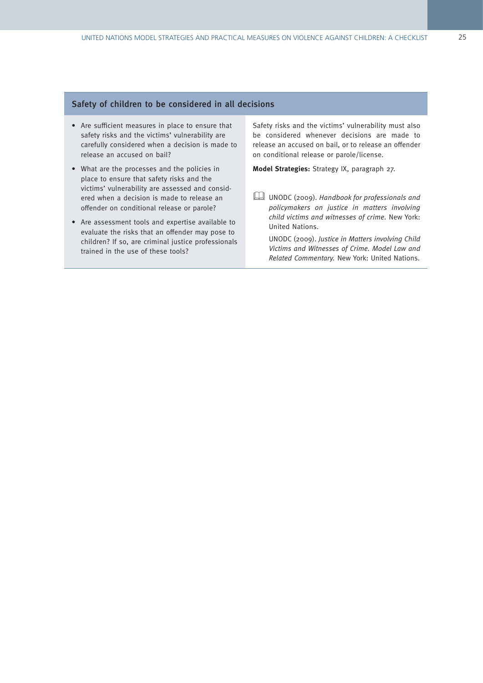#### Safety of children to be considered in all decisions

- Are sufficient measures in place to ensure that safety risks and the victims' vulnerability are carefully considered when a decision is made to release an accused on bail?
- What are the processes and the policies in place to ensure that safety risks and the victims' vulnerability are assessed and considered when a decision is made to release an offender on conditional release or parole?
- Are assessment tools and expertise available to evaluate the risks that an offender may pose to children? If so, are criminal justice professionals trained in the use of these tools?

Safety risks and the victims' vulnerability must also be considered whenever decisions are made to release an accused on bail, or to release an offender on conditional release or parole/license.

**Model Strategies:** Strategy IX, paragraph 27.

UNODC (2009). Handbook for professionals and policymakers on justice in matters involving child victims and witnesses of crime. New York: United Nations.

UNODC (2009). Justice in Matters involving Child Victims and Witnesses of Crime. Model Law and Related Commentary. New York: United Nations.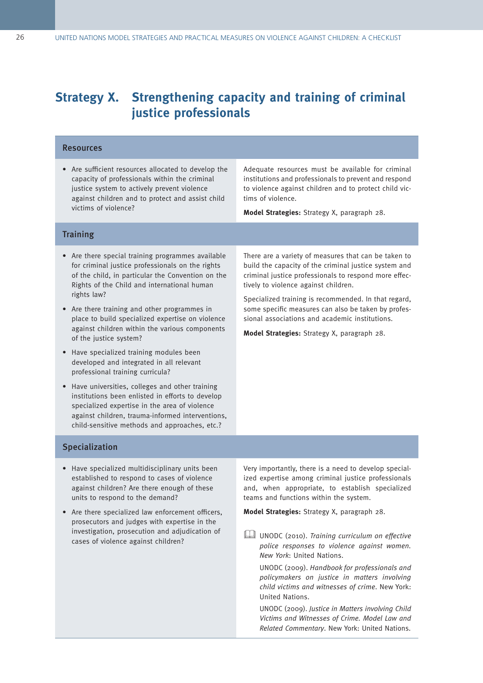### **Strategy X. Strengthening capacity and training of criminal justice professionals**

#### Resources

• Are sufficient resources allocated to develop the capacity of professionals within the criminal justice system to actively prevent violence against children and to protect and assist child victims of violence?

Adequate resources must be available for criminal institutions and professionals to prevent and respond to violence against children and to protect child victims of violence.

**Model Strategies:** Strategy X, paragraph 28.

#### **Training**

- Are there special training programmes available for criminal justice professionals on the rights of the child, in particular the Convention on the Rights of the Child and international human rights law?
- Are there training and other programmes in place to build specialized expertise on violence against children within the various components of the justice system?
- Have specialized training modules been developed and integrated in all relevant professional training curricula?
- Have universities, colleges and other training institutions been enlisted in efforts to develop specialized expertise in the area of violence against children, trauma-informed interventions, child-sensitive methods and approaches, etc.?

Specialization

- Have specialized multidisciplinary units been established to respond to cases of violence against children? Are there enough of these units to respond to the demand?
- Are there specialized law enforcement officers, prosecutors and judges with expertise in the investigation, prosecution and adjudication of cases of violence against children?

There are a variety of measures that can be taken to build the capacity of the criminal justice system and criminal justice professionals to respond more effectively to violence against children.

Specialized training is recommended. In that regard, some specific measures can also be taken by professional associations and academic institutions.

**Model Strategies:** Strategy X, paragraph 28.

Very importantly, there is a need to develop specialized expertise among criminal justice professionals and, when appropriate, to establish specialized teams and functions within the system.

**Model Strategies:** Strategy X, paragraph 28.

UNODC (2010). Training curriculum on effective police responses to violence against women. New York: United Nations.

UNODC (2009). Handbook for professionals and policymakers on justice in matters involving child victims and witnesses of crime. New York: United Nations.

UNODC (2009). Justice in Matters involving Child Victims and Witnesses of Crime. Model Law and Related Commentary. New York: United Nations.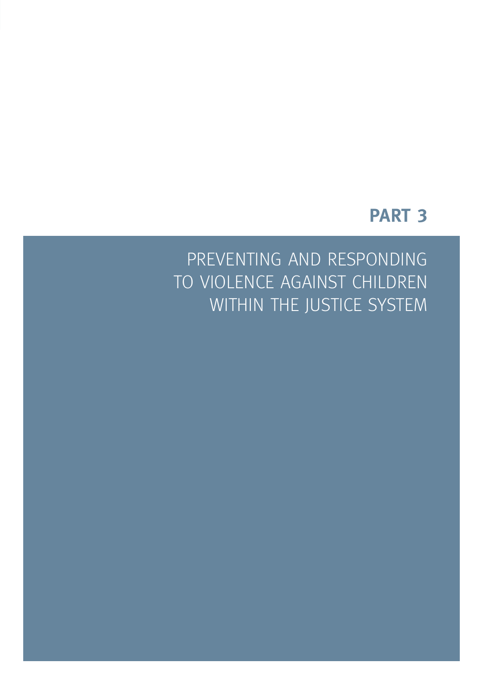## **PART 3**

PREVENTING AND RESPONDING TO VIOLENCE AGAINST CHILDREN WITHIN THE JUSTICE SYSTEM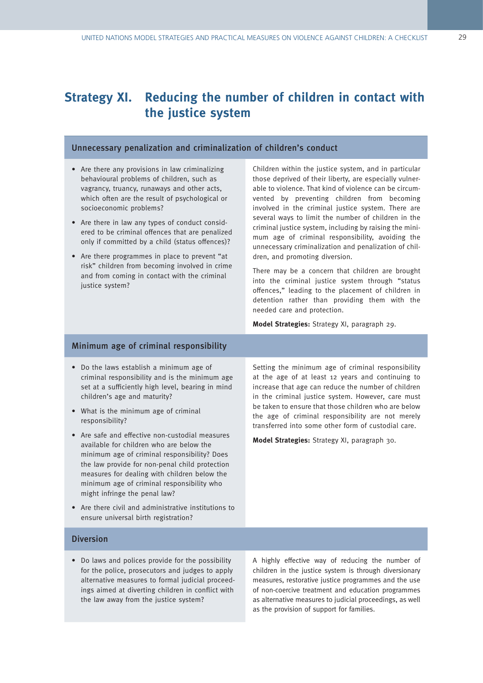### **Strategy XI. Reducing the number of children in contact with the justice system**

#### Unnecessary penalization and criminalization of children's conduct

- Are there any provisions in law criminalizing behavioural problems of children, such as vagrancy, truancy, runaways and other acts, which often are the result of psychological or socioeconomic problems?
- Are there in law any types of conduct considered to be criminal offences that are penalized only if committed by a child (status offences)?
- Are there programmes in place to prevent "at risk" children from becoming involved in crime and from coming in contact with the criminal justice system?

Children within the justice system, and in particular those deprived of their liberty, are especially vulnerable to violence. That kind of violence can be circumvented by preventing children from becoming involved in the criminal justice system. There are several ways to limit the number of children in the criminal justice system, including by raising the minimum age of criminal responsibility, avoiding the unnecessary criminalization and penalization of children, and promoting diversion.

There may be a concern that children are brought into the criminal justice system through "status offences," leading to the placement of children in detention rather than providing them with the needed care and protection.

**Model Strategies:** Strategy XI, paragraph 29.

#### Minimum age of criminal responsibility

- Do the laws establish a minimum age of criminal responsibility and is the minimum age set at a sufficiently high level, bearing in mind children's age and maturity?
- What is the minimum age of criminal responsibility?
- Are safe and effective non-custodial measures available for children who are below the minimum age of criminal responsibility? Does the law provide for non-penal child protection measures for dealing with children below the minimum age of criminal responsibility who might infringe the penal law?
- Are there civil and administrative institutions to ensure universal birth registration?

Setting the minimum age of criminal responsibility at the age of at least 12 years and continuing to increase that age can reduce the number of children in the criminal justice system. However, care must be taken to ensure that those children who are below the age of criminal responsibility are not merely transferred into some other form of custodial care.

**Model Strategies:** Strategy XI, paragraph 30.

#### Diversion

• Do laws and polices provide for the possibility for the police, prosecutors and judges to apply alternative measures to formal judicial proceedings aimed at diverting children in conflict with the law away from the justice system?

A highly effective way of reducing the number of children in the justice system is through diversionary measures, restorative justice programmes and the use of non-coercive treatment and education programmes as alternative measures to judicial proceedings, as well as the provision of support for families.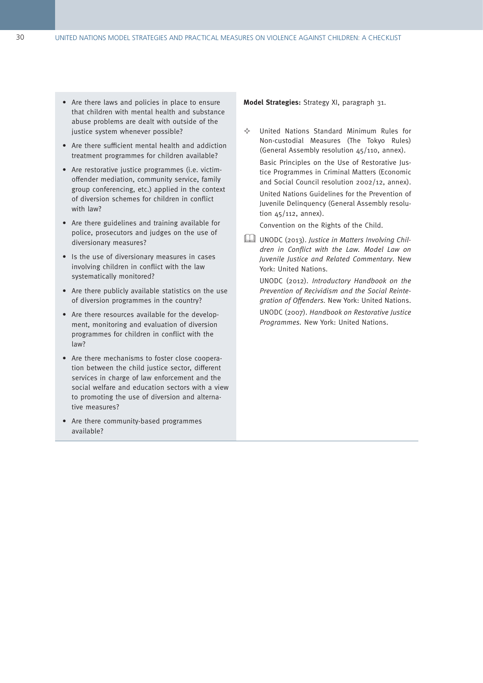- Are there laws and policies in place to ensure that children with mental health and substance abuse problems are dealt with outside of the justice system whenever possible?
- Are there sufficient mental health and addiction treatment programmes for children available?
- Are restorative justice programmes (i.e. victimoffender mediation, community service, family group conferencing, etc.) applied in the context of diversion schemes for children in conflict with law?
- Are there guidelines and training available for police, prosecutors and judges on the use of diversionary measures?
- Is the use of diversionary measures in cases involving children in conflict with the law systematically monitored?
- Are there publicly available statistics on the use of diversion programmes in the country?
- Are there resources available for the development, monitoring and evaluation of diversion programmes for children in conflict with the law?
- Are there mechanisms to foster close cooperation between the child justice sector, different services in charge of law enforcement and the social welfare and education sectors with a view to promoting the use of diversion and alternative measures?
- Are there community-based programmes available?

**Model Strategies:** Strategy XI, paragraph 31.

 $\Leftrightarrow$  United Nations Standard Minimum Rules for Non-custodial Measures (The Tokyo Rules) (General Assembly resolution 45/110, annex).

Basic Principles on the Use of Restorative Justice Programmes in Criminal Matters (Economic and Social Council resolution 2002/12, annex).

United Nations Guidelines for the Prevention of Juvenile Delinquency (General Assembly resolution 45/112, annex).

Convention on the Rights of the Child.

UNODC (2013). Justice in Matters Involving Children in Conflict with the Law. Model Law on Juvenile Justice and Related Commentary. New York: United Nations.

UNODC (2012). Introductory Handbook on the Prevention of Recividism and the Social Reintegration of Offenders. New York: United Nations.

UNODC (2007). Handbook on Restorative Justice Programmes. New York: United Nations.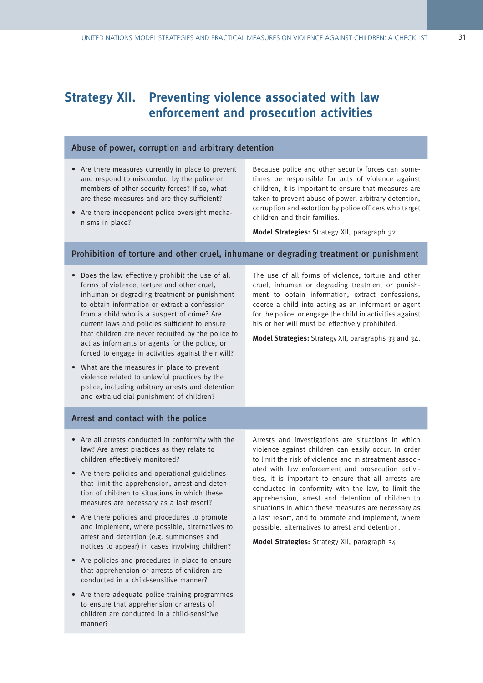### **Strategy XII. Preventing violence associated with law enforcement and prosecution activities**

#### Abuse of power, corruption and arbitrary detention

- Are there measures currently in place to prevent and respond to misconduct by the police or members of other security forces? If so, what are these measures and are they sufficient?
- Are there independent police oversight mechanisms in place?

Because police and other security forces can sometimes be responsible for acts of violence against children, it is important to ensure that measures are taken to prevent abuse of power, arbitrary detention, corruption and extortion by police officers who target children and their families.

**Model Strategies:** Strategy XII, paragraph 32.

#### Prohibition of torture and other cruel, inhumane or degrading treatment or punishment

- Does the law effectively prohibit the use of all forms of violence, torture and other cruel, inhuman or degrading treatment or punishment to obtain information or extract a confession from a child who is a suspect of crime? Are current laws and policies sufficient to ensure that children are never recruited by the police to act as informants or agents for the police, or forced to engage in activities against their will?
- What are the measures in place to prevent violence related to unlawful practices by the police, including arbitrary arrests and detention and extrajudicial punishment of children?

#### Arrest and contact with the police

- Are all arrests conducted in conformity with the law? Are arrest practices as they relate to children effectively monitored?
- Are there policies and operational guidelines that limit the apprehension, arrest and detention of children to situations in which these measures are necessary as a last resort?
- Are there policies and procedures to promote and implement, where possible, alternatives to arrest and detention (e.g. summonses and notices to appear) in cases involving children?
- Are policies and procedures in place to ensure that apprehension or arrests of children are conducted in a child-sensitive manner?
- Are there adequate police training programmes to ensure that apprehension or arrests of children are conducted in a child-sensitive manner?

The use of all forms of violence, torture and other cruel, inhuman or degrading treatment or punishment to obtain information, extract confessions, coerce a child into acting as an informant or agent for the police, or engage the child in activities against his or her will must be effectively prohibited.

**Model Strategies:** Strategy XII, paragraphs 33 and 34.

Arrests and investigations are situations in which violence against children can easily occur. In order to limit the risk of violence and mistreatment associated with law enforcement and prosecution activities, it is important to ensure that all arrests are conducted in conformity with the law, to limit the apprehension, arrest and detention of children to situations in which these measures are necessary as a last resort, and to promote and implement, where possible, alternatives to arrest and detention.

**Model Strategies:** Strategy XII, paragraph 34.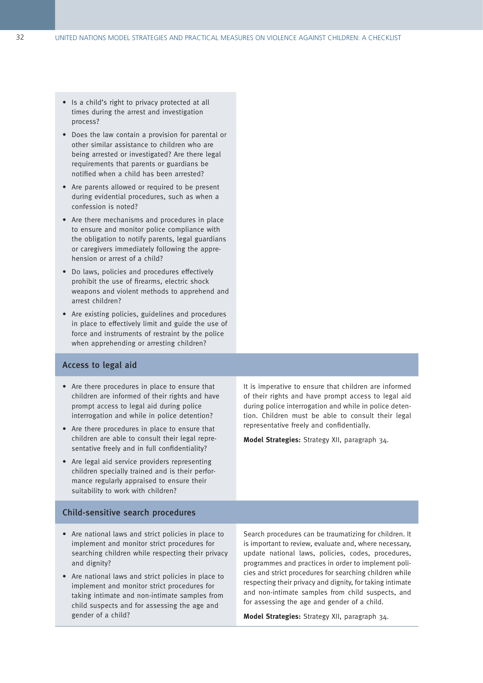- Is a child's right to privacy protected at all times during the arrest and investigation process?
- Does the law contain a provision for parental or other similar assistance to children who are being arrested or investigated? Are there legal requirements that parents or guardians be notified when a child has been arrested?
- Are parents allowed or required to be present during evidential procedures, such as when a confession is noted?
- Are there mechanisms and procedures in place to ensure and monitor police compliance with the obligation to notify parents, legal guardians or caregivers immediately following the apprehension or arrest of a child?
- D0 laws, policies and procedures effectively prohibit the use of firearms, electric shock weapons and violent methods to apprehend and arrest children?
- Are existing policies, guidelines and procedures in place to effectively limit and guide the use of force and instruments of restraint by the police when apprehending or arresting children?

#### Access to legal aid

- Are there procedures in place to ensure that children are informed of their rights and have prompt access to legal aid during police interrogation and while in police detention?
- Are there procedures in place to ensure that children are able to consult their legal representative freely and in full confidentiality?
- Are legal aid service providers representing children specially trained and is their performance regularly appraised to ensure their suitability to work with children?

#### Child-sensitive search procedures

- Are national laws and strict policies in place to implement and monitor strict procedures for searching children while respecting their privacy and dignity?
- Are national laws and strict policies in place to implement and monitor strict procedures for taking intimate and non-intimate samples from child suspects and for assessing the age and gender of a child?

It is imperative to ensure that children are informed of their rights and have prompt access to legal aid during police interrogation and while in police detention. Children must be able to consult their legal representative freely and confidentially.

**Model Strategies:** Strategy XII, paragraph 34.

Search procedures can be traumatizing for children. It is important to review, evaluate and, where necessary, update national laws, policies, codes, procedures, programmes and practices in order to implement policies and strict procedures for searching children while respecting their privacy and dignity, for taking intimate and non-intimate samples from child suspects, and for assessing the age and gender of a child.

**Model Strategies:** Strategy XII, paragraph 34.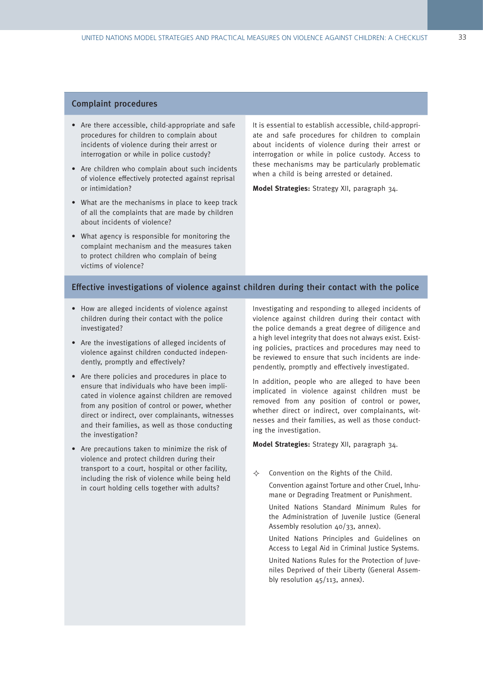#### Complaint procedures

- Are there accessible, child-appropriate and safe procedures for children to complain about incidents of violence during their arrest or interrogation or while in police custody?
- Are children who complain about such incidents of violence effectively protected against reprisal or intimidation?
- What are the mechanisms in place to keep track of all the complaints that are made by children about incidents of violence?
- What agency is responsible for monitoring the complaint mechanism and the measures taken to protect children who complain of being victims of violence?

It is essential to establish accessible, child-appropriate and safe procedures for children to complain about incidents of violence during their arrest or interrogation or while in police custody. Access to these mechanisms may be particularly problematic when a child is being arrested or detained.

**Model Strategies:** Strategy XII, paragraph 34.

#### Effective investigations of violence against children during their contact with the police

- How are alleged incidents of violence against children during their contact with the police investigated?
- Are the investigations of alleged incidents of violence against children conducted independently, promptly and effectively?
- Are there policies and procedures in place to ensure that individuals who have been implicated in violence against children are removed from any position of control or power, whether direct or indirect, over complainants, witnesses and their families, as well as those conducting the investigation?
- Are precautions taken to minimize the risk of violence and protect children during their transport to a court, hospital or other facility, including the risk of violence while being held in court holding cells together with adults?

Investigating and responding to alleged incidents of violence against children during their contact with the police demands a great degree of diligence and a high level integrity that does not always exist. Existing policies, practices and procedures may need to be reviewed to ensure that such incidents are independently, promptly and effectively investigated.

In addition, people who are alleged to have been implicated in violence against children must be removed from any position of control or power, whether direct or indirect, over complainants, witnesses and their families, as well as those conducting the investigation.

**Model Strategies:** Strategy XII, paragraph 34.

 $\Leftrightarrow$  Convention on the Rights of the Child. Convention against Torture and other Cruel, Inhumane or Degrading Treatment or Punishment.

United Nations Standard Minimum Rules for the Administration of Juvenile Justice (General Assembly resolution 40/33, annex).

United Nations Principles and Guidelines on Access to Legal Aid in Criminal Justice Systems. United Nations Rules for the Protection of Juveniles Deprived of their Liberty (General Assembly resolution 45/113, annex).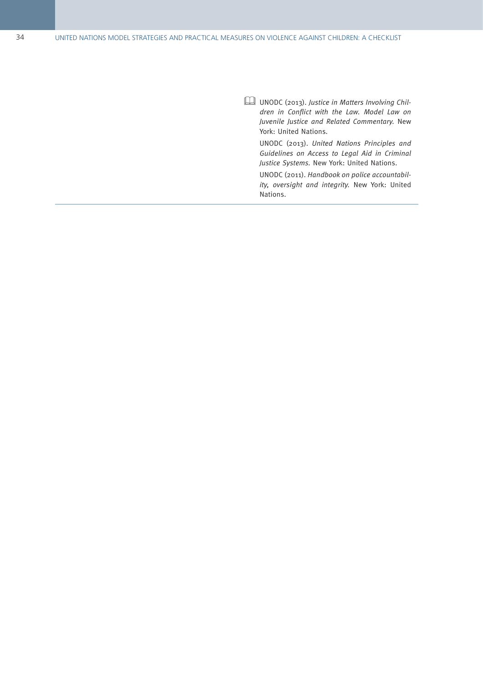UNODC (2013) . Justice in Matters Involving Chil dren in Conflict with the Law. Model Law on Juvenile Justice and Related Commentary. New York: United Nations .

UNODC (2013) . United Nations Principles and Guidelines on Access to Legal Aid in Criminal Justice Systems. New York: United Nations.

UNODC (2011) . Handbook on police accountabil ity, oversight and integrity. New York: United Nations .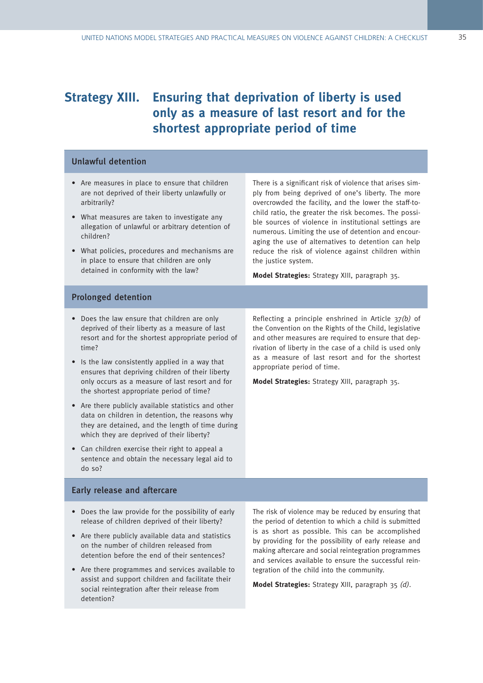### **Strategy XIII. Ensuring that deprivation of liberty is used only as a measure of last resort and for the shortest appropriate period of time**

#### Unlawful detention

- Are measures in place to ensure that children are not deprived of their liberty unlawfully or arbitrarily?
- What measures are taken to investigate any allegation of unlawful or arbitrary detention of children?
- What policies, procedures and mechanisms are in place to ensure that children are only detained in conformity with the law?

There is a significant risk of violence that arises simply from being deprived of one's liberty. The more overcrowded the facility, and the lower the staff-tochild ratio, the greater the risk becomes. The possible sources of violence in institutional settings are numerous. Limiting the use of detention and encouraging the use of alternatives to detention can help reduce the risk of violence against children within the justice system.

**Model Strategies:** Strategy XIII, paragraph 35.

#### Prolonged detention

- Does the law ensure that children are only deprived of their liberty as a measure of last resort and for the shortest appropriate period of time?
- Is the law consistently applied in a way that ensures that depriving children of their liberty only occurs as a measure of last resort and for the shortest appropriate period of time?
- Are there publicly available statistics and other data on children in detention, the reasons why they are detained, and the length of time during which they are deprived of their liberty?
- Can children exercise their right to appeal a sentence and obtain the necessary legal aid to do so?

Reflecting a principle enshrined in Article 37(b) of the Convention on the Rights of the Child, legislative and other measures are required to ensure that deprivation of liberty in the case of a child is used only as a measure of last resort and for the shortest appropriate period of time.

**Model Strategies:** Strategy XIII, paragraph 35.

#### Early release and aftercare

- Does the law provide for the possibility of early release of children deprived of their liberty?
- Are there publicly available data and statistics on the number of children released from detention before the end of their sentences?
- Are there programmes and services available to assist and support children and facilitate their social reintegration after their release from detention?

The risk of violence may be reduced by ensuring that the period of detention to which a child is submitted is as short as possible. This can be accomplished by providing for the possibility of early release and making aftercare and social reintegration programmes and services available to ensure the successful reintegration of the child into the community.

**Model Strategies:** Strategy XIII, paragraph 35 (d).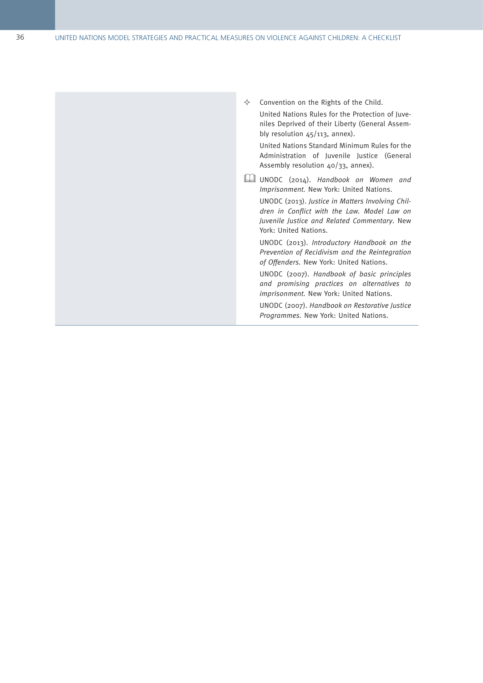$\Leftrightarrow$  Convention on the Rights of the Child. United Nations Rules for the Protection of Juve niles Deprived of their Liberty (General Assem bly resolution 45/113, annex) .

United Nations Standard Minimum Rules for the Administration of Juvenile Justice (General Assembly resolution 40/33, annex) .

UNODC (2014) . Handbook on Women and Imprisonment. New York: United Nations.

UNODC (2013) . Justice in Matters Involving Chil dren in Conflict with the Law. Model Law on Juvenile Justice and Related Commentary . New York: United Nations .

UNODC (2013) . Introductory Handbook on the Prevention of Recidivism and the Reintegration of Offenders. New York: United Nations.

UNODC (2007) . Handbook of basic principles and promising practices on alternatives to imprisonment. New York: United Nations.

UNODC (2007) . Handbook on Restorative Justice Programmes. New York: United Nations.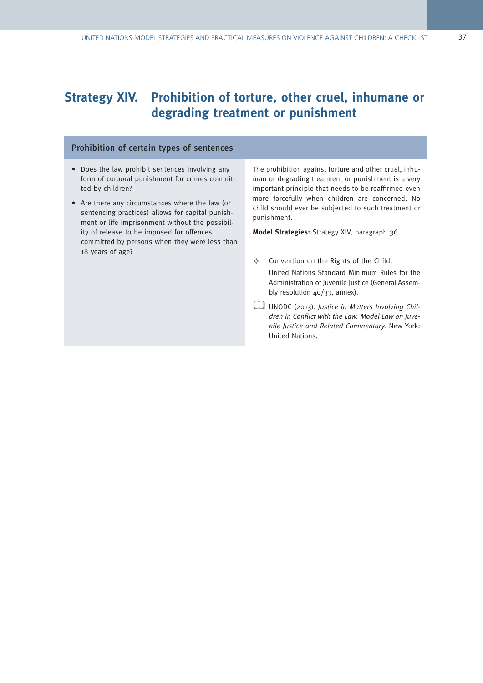## **Strategy XIV. Prohibition of torture, other cruel, inhumane or degrading treatment or punishment**

#### Prohibition of certain types of sentences

- Does the law prohibit sentences involving any form of corporal punishment for crimes committed by children?
- Are there any circumstances where the law (or sentencing practices) allows for capital punishment or life imprisonment without the possibility of release to be imposed for offences committed by persons when they were less than 18 years of age?

The prohibition against torture and other cruel, inhuman or degrading treatment or punishment is a very important principle that needs to be reaffirmed even more forcefully when children are concerned. No child should ever be subjected to such treatment or punishment.

**Model Strategies:** Strategy XIV, paragraph 36.

 $\Leftrightarrow$  Convention on the Rights of the Child.

United Nations Standard Minimum Rules for the Administration of Juvenile Justice (General Assembly resolution 40/33, annex).

UNODC (2013). Justice in Matters Involving Children in Conflict with the Law. Model Law on Juvenile Justice and Related Commentary. New York: United Nations.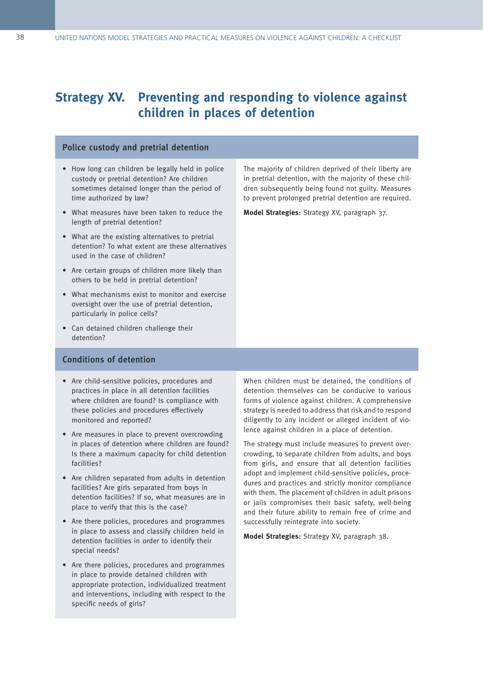### **Strategy XV. Preventing and responding to violence against children in places of detention**

#### Police custody and pretrial detention

- How long can children be legally held in police custody or pretrial detention? Are children sometimes detained longer than the period of time authorized by law?
- What measures have been taken to reduce the length of pretrial detention?
- What are the existing alternatives to pretrial detention? To what extent are these alternatives used in the case of children?
- Are certain groups of children more likely than others to be held in pretrial detention?
- What mechanisms exist to monitor and exercise oversight over the use of pretrial detention, particularly in police cells?
- Can detained children challenge their detention?

#### Conditions of detention

- Are child-sensitive policies, procedures and practices in place in all detention facilities where children are found? Is compliance with these policies and procedures effectively monitored and reported?
- Are measures in place to prevent overcrowding in places of detention where children are found? Is there a maximum capacity for child detention facilities?
- Are children separated from adults in detention facilities? Are girls separated from boys in detention facilities? If so, what measures are in place to verify that this is the case?
- Are there policies, procedures and programmes in place to assess and classify children held in detention facilities in order to identify their special needs?
- Are there policies, procedures and programmes in place to provide detained children with appropriate protection, individualized treatment and interventions, including with respect to the specific needs of girls?

The majority of children deprived of their liberty are in pretrial detention, with the majority of these children subsequently being found not guilty. Measures to prevent prolonged pretrial detention are required.

**Model Strategies:** Strategy XV, paragraph 37.

When children must be detained, the conditions of detention themselves can be conducive to various forms of violence against children. A comprehensive strategy is needed to address that risk and to respond diligently to any incident or alleged incident of violence against children in a place of detention.

The strategy must include measures to prevent overcrowding, to separate children from adults, and boys from girls, and ensure that all detention facilities adopt and implement child-sensitive policies, procedures and practices and strictly monitor compliance with them. The placement of children in adult prisons or jails compromises their basic safety, well-being and their future ability to remain free of crime and successfully reintegrate into society.

**Model Strategies:** Strategy XV, paragraph 38.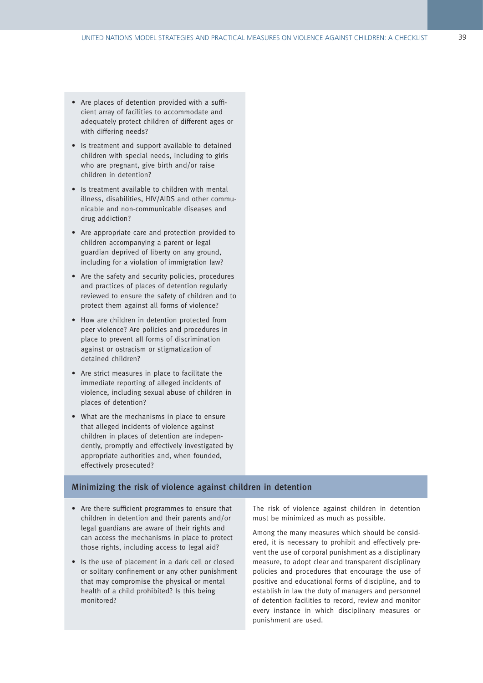- Are places of detention provided with a sufficient array of facilities to accommodate and adequately protect children of different ages or with differing needs?
- Is treatment and support available to detained children with special needs, including to girls who are pregnant, give birth and/or raise children in detention?
- Is treatment available to children with mental illness, disabilities, HIV/AIDS and other communicable and non-communicable diseases and drug addiction?
- Are appropriate care and protection provided to children accompanying a parent or legal guardian deprived of liberty on any ground, including for a violation of immigration law?
- Are the safety and security policies, procedures and practices of places of detention regularly reviewed to ensure the safety of children and to protect them against all forms of violence?
- How are children in detention protected from peer violence? Are policies and procedures in place to prevent all forms of discrimination against or ostracism or stigmatization of detained children?
- Are strict measures in place to facilitate the immediate reporting of alleged incidents of violence, including sexual abuse of children in places of detention?
- What are the mechanisms in place to ensure that alleged incidents of violence against children in places of detention are independently, promptly and effectively investigated by appropriate authorities and, when founded, effectively prosecuted?

#### Minimizing the risk of violence against children in detention

- Are there sufficient programmes to ensure that children in detention and their parents and/or legal guardians are aware of their rights and can access the mechanisms in place to protect those rights, including access to legal aid?
- Is the use of placement in a dark cell or closed or solitary confinement or any other punishment that may compromise the physical or mental health of a child prohibited? Is this being monitored?

The risk of violence against children in detention must be minimized as much as possible.

Among the many measures which should be considered, it is necessary to prohibit and effectively prevent the use of corporal punishment as a disciplinary measure, to adopt clear and transparent disciplinary policies and procedures that encourage the use of positive and educational forms of discipline, and to establish in law the duty of managers and personnel of detention facilities to record, review and monitor every instance in which disciplinary measures or punishment are used.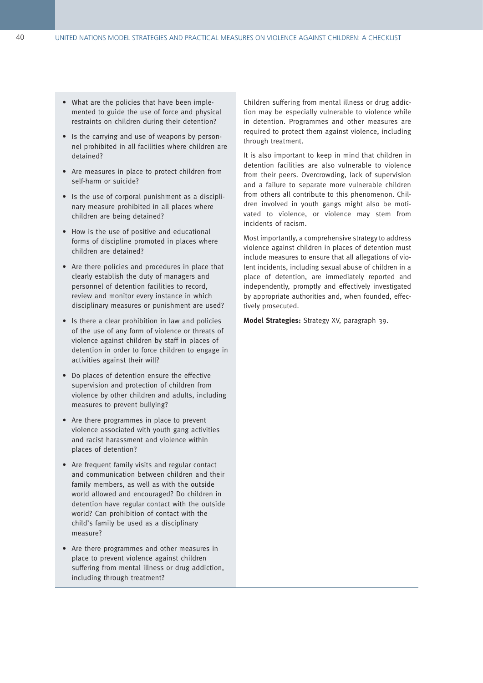- What are the policies that have been implemented to guide the use of force and physical restraints on children during their detention?
- Is the carrying and use of weapons by personnel prohibited in all facilities where children are detained?
- Are measures in place to protect children from self-harm or suicide?
- Is the use of corporal punishment as a disciplinary measure prohibited in all places where children are being detained?
- How is the use of positive and educational forms of discipline promoted in places where children are detained?
- Are there policies and procedures in place that clearly establish the duty of managers and personnel of detention facilities to record, review and monitor every instance in which disciplinary measures or punishment are used?
- Is there a clear prohibition in law and policies of the use of any form of violence or threats of violence against children by staff in places of detention in order to force children to engage in activities against their will?
- Do places of detention ensure the effective supervision and protection of children from violence by other children and adults, including measures to prevent bullying?
- Are there programmes in place to prevent violence associated with youth gang activities and racist harassment and violence within places of detention?
- Are frequent family visits and regular contact and communication between children and their family members, as well as with the outside world allowed and encouraged? Do children in detention have regular contact with the outside world? Can prohibition of contact with the child's family be used as a disciplinary measure?
- Are there programmes and other measures in place to prevent violence against children suffering from mental illness or drug addiction, including through treatment?

Children suffering from mental illness or drug addiction may be especially vulnerable to violence while in detention. Programmes and other measures are required to protect them against violence, including through treatment.

It is also important to keep in mind that children in detention facilities are also vulnerable to violence from their peers. Overcrowding, lack of supervision and a failure to separate more vulnerable children from others all contribute to this phenomenon. Children involved in youth gangs might also be motivated to violence, or violence may stem from incidents of racism.

Most importantly, a comprehensive strategy to address violence against children in places of detention must include measures to ensure that all allegations of violent incidents, including sexual abuse of children in a place of detention, are immediately reported and independently, promptly and effectively investigated by appropriate authorities and, when founded, effectively prosecuted.

**Model Strategies:** Strategy XV, paragraph 39.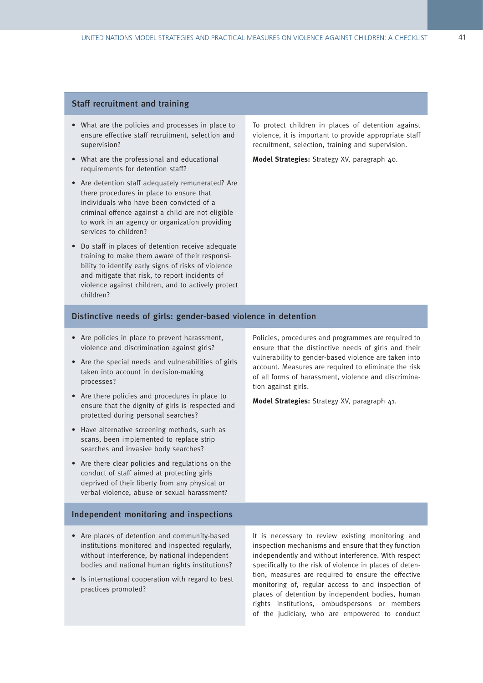#### Staff recruitment and training

- What are the policies and processes in place to ensure effective staff recruitment, selection and supervision?
- What are the professional and educational requirements for detention staff?
- Are detention staff adequately remunerated? Are there procedures in place to ensure that individuals who have been convicted of a criminal offence against a child are not eligible to work in an agency or organization providing services to children?
- Do staff in places of detention receive adequate training to make them aware of their responsibility to identify early signs of risks of violence and mitigate that risk, to report incidents of violence against children, and to actively protect children?

To protect children in places of detention against violence, it is important to provide appropriate staff recruitment, selection, training and supervision.

**Model Strategies:** Strategy XV, paragraph 40.

#### Distinctive needs of girls: gender-based violence in detention

- Are policies in place to prevent harassment, violence and discrimination against girls?
- Are the special needs and vulnerabilities of girls taken into account in decision-making processes?
- Are there policies and procedures in place to ensure that the dignity of girls is respected and protected during personal searches?
- Have alternative screening methods, such as scans, been implemented to replace strip searches and invasive body searches?
- Are there clear policies and regulations on the conduct of staff aimed at protecting girls deprived of their liberty from any physical or verbal violence, abuse or sexual harassment?

#### Independent monitoring and inspections

- Are places of detention and community-based institutions monitored and inspected regularly, without interference, by national independent bodies and national human rights institutions?
- Is international cooperation with regard to best practices promoted?

Policies, procedures and programmes are required to ensure that the distinctive needs of girls and their vulnerability to gender-based violence are taken into account. Measures are required to eliminate the risk of all forms of harassment, violence and discrimination against girls.

**Model Strategies:** Strategy XV, paragraph 41.

It is necessary to review existing monitoring and inspection mechanisms and ensure that they function independently and without interference. With respect specifically to the risk of violence in places of detention, measures are required to ensure the effective monitoring of, regular access to and inspection of places of detention by independent bodies, human rights institutions, ombudspersons or members of the judiciary, who are empowered to conduct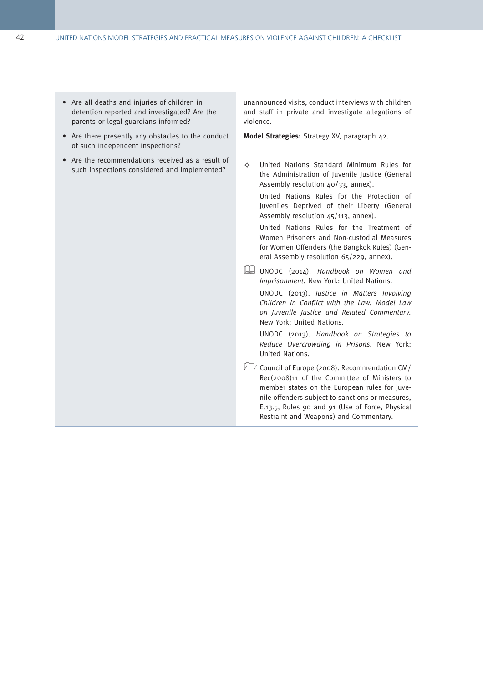- Are all deaths and injuries of children in detention reported and investigated? Are the parents or legal guardians informed?
- Are there presently any obstacles to the conduct of such independent inspections?
- Are the recommendations received as a result of such inspections considered and implemented?

unannounced visits, conduct interviews with children and staff in private and investigate allegations of violence.

**Model Strategies:** Strategy XV, paragraph 42.

 $\Leftrightarrow$  United Nations Standard Minimum Rules for the Administration of Juvenile Justice (General Assembly resolution 40/33, annex).

United Nations Rules for the Protection of Juveniles Deprived of their Liberty (General Assembly resolution 45/113, annex).

United Nations Rules for the Treatment of Women Prisoners and Non-custodial Measures for Women Offenders (the Bangkok Rules) (General Assembly resolution 65/229, annex).

UNODC (2014). Handbook on Women and Imprisonment. New York: United Nations.

UNODC (2013). Justice in Matters Involving Children in Conflict with the Law. Model Law on Juvenile Justice and Related Commentary. New York: United Nations.

UNODC (2013). Handbook on Strategies to Reduce Overcrowding in Prisons. New York: United Nations.

Council of Europe (2008). Recommendation CM/ Rec(2008)11 of the Committee of Ministers to member states on the European rules for juvenile offenders subject to sanctions or measures, E.13.5, Rules 90 and 91 (Use of Force, Physical Restraint and Weapons) and Commentary.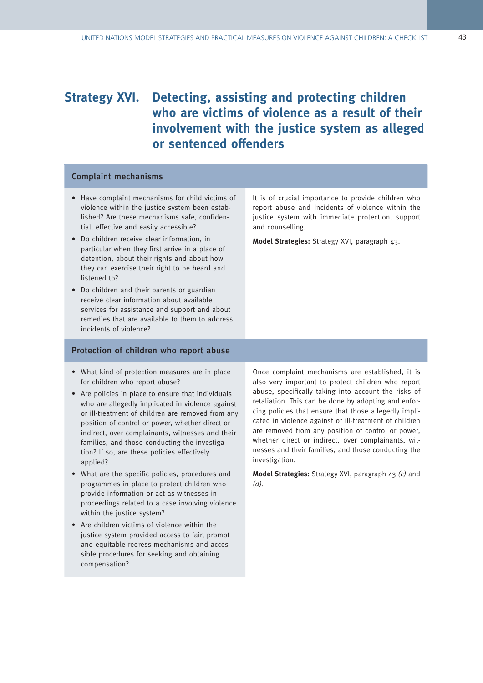### **Strategy XVI. Detecting, assisting and protecting children who are victims of violence as a result of their involvement with the justice system as alleged or sentenced offenders**

#### Complaint mechanisms

- Have complaint mechanisms for child victims of violence within the justice system been established? Are these mechanisms safe, confidential, effective and easily accessible?
- Do children receive clear information, in particular when they first arrive in a place of detention, about their rights and about how they can exercise their right to be heard and listened to?
- Do children and their parents or guardian receive clear information about available services for assistance and support and about remedies that are available to them to address incidents of violence?

#### Protection of children who report abuse

- What kind of protection measures are in place for children who report abuse?
- Are policies in place to ensure that individuals who are allegedly implicated in violence against or ill-treatment of children are removed from any position of control or power, whether direct or indirect, over complainants, witnesses and their families, and those conducting the investigation? If so, are these policies effectively applied?
- What are the specific policies, procedures and programmes in place to protect children who provide information or act as witnesses in proceedings related to a case involving violence within the justice system?
- Are children victims of violence within the justice system provided access to fair, prompt and equitable redress mechanisms and accessible procedures for seeking and obtaining compensation?

Once complaint mechanisms are established, it is also very important to protect children who report abuse, specifically taking into account the risks of retaliation. This can be done by adopting and enforcing policies that ensure that those allegedly implicated in violence against or ill-treatment of children are removed from any position of control or power, whether direct or indirect, over complainants, witnesses and their families, and those conducting the investigation.

**Model Strategies:** Strategy XVI, paragraph 43 (c) and (d).

It is of crucial importance to provide children who report abuse and incidents of violence within the justice system with immediate protection, support and counselling.

**Model Strategies:** Strategy XVI, paragraph 43.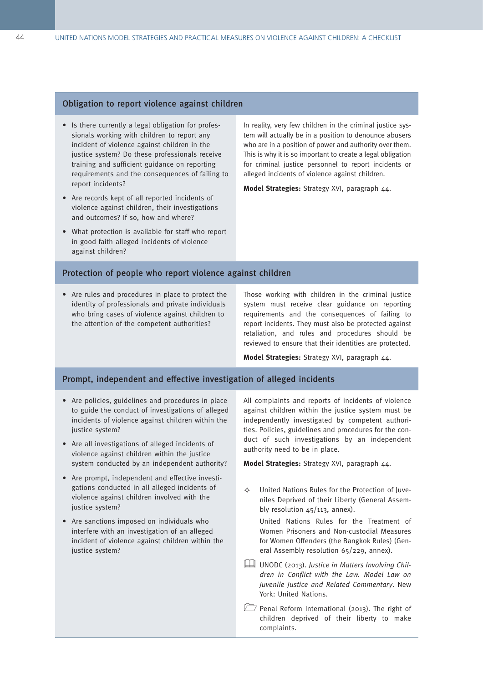#### Obligation to report violence against children

- Is there currently a legal obligation for professionals working with children to report any incident of violence against children in the justice system? Do these professionals receive training and sufficient guidance on reporting requirements and the consequences of failing to report incidents?
- Are records kept of all reported incidents of violence against children, their investigations and outcomes? If so, how and where?
- What protection is available for staff who report in good faith alleged incidents of violence against children?

In reality, very few children in the criminal justice system will actually be in a position to denounce abusers who are in a position of power and authority over them. This is why it is so important to create a legal obligation for criminal justice personnel to report incidents or alleged incidents of violence against children.

**Model Strategies:** Strategy XVI, paragraph 44.

#### Protection of people who report violence against children

• Are rules and procedures in place to protect the identity of professionals and private individuals who bring cases of violence against children to the attention of the competent authorities?

Those working with children in the criminal justice system must receive clear guidance on reporting requirements and the consequences of failing to report incidents. They must also be protected against retaliation, and rules and procedures should be reviewed to ensure that their identities are protected.

**Model Strategies:** Strategy XVI, paragraph 44.

#### Prompt, independent and effective investigation of alleged incidents

- Are policies, guidelines and procedures in place to guide the conduct of investigations of alleged incidents of violence against children within the justice system?
- Are all investigations of alleged incidents of violence against children within the justice system conducted by an independent authority?
- Are prompt, independent and effective investigations conducted in all alleged incidents of violence against children involved with the justice system?
- Are sanctions imposed on individuals who interfere with an investigation of an alleged incident of violence against children within the justice system?

All complaints and reports of incidents of violence against children within the justice system must be independently investigated by competent authorities. Policies, guidelines and procedures for the conduct of such investigations by an independent authority need to be in place.

**Model Strategies:** Strategy XVI, paragraph 44.

 $\Diamond$  United Nations Rules for the Protection of Iuveniles Deprived of their Liberty (General Assembly resolution 45/113, annex).

United Nations Rules for the Treatment of Women Prisoners and Non-custodial Measures for Women Offenders (the Bangkok Rules) (General Assembly resolution 65/229, annex).

- UNODC (2013). Justice in Matters Involving Children in Conflict with the Law. Model Law on Juvenile Justice and Related Commentary. New York: United Nations.
- Penal Reform International (2013). The right of children deprived of their liberty to make complaints.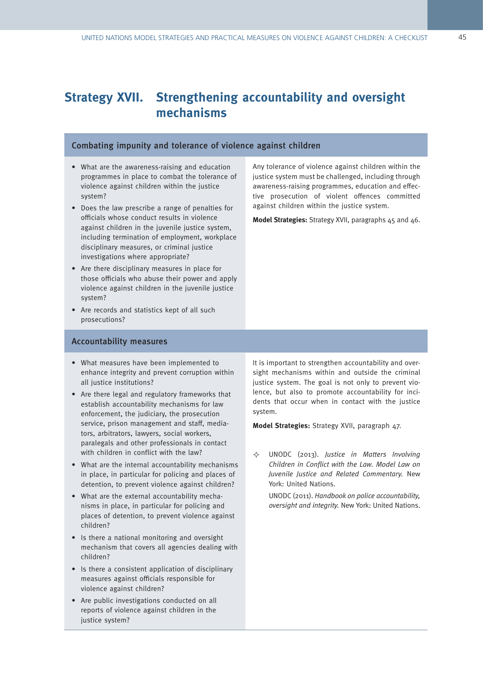### **Strategy XVII. Strengthening accountability and oversight mechanisms**

#### Combating impunity and tolerance of violence against children

- What are the awareness-raising and education programmes in place to combat the tolerance of violence against children within the justice system?
- Does the law prescribe a range of penalties for officials whose conduct results in violence against children in the juvenile justice system. including termination of employment, workplace disciplinary measures, or criminal justice investigations where appropriate?
- Are there disciplinary measures in place for those officials who abuse their power and apply violence against children in the juvenile justice system?
- Are records and statistics kept of all such prosecutions?

#### Accountability measures

- What measures have been implemented to enhance integrity and prevent corruption within all justice institutions?
- Are there legal and regulatory frameworks that establish accountability mechanisms for law enforcement, the judiciary, the prosecution service, prison management and staff, mediators, arbitrators, lawyers, social workers, paralegals and other professionals in contact with children in conflict with the law?
- What are the internal accountability mechanisms in place, in particular for policing and places of detention, to prevent violence against children?
- What are the external accountability mechanisms in place, in particular for policing and places of detention, to prevent violence against children?
- Is there a national monitoring and oversight mechanism that covers all agencies dealing with children?
- Is there a consistent application of disciplinary measures against officials responsible for violence against children?
- Are public investigations conducted on all reports of violence against children in the justice system?

Any tolerance of violence against children within the justice system must be challenged, including through awareness-raising programmes, education and effective prosecution of violent offences committed against children within the justice system.

**Model Strategies:** Strategy XVII, paragraphs 45 and 46.

It is important to strengthen accountability and oversight mechanisms within and outside the criminal justice system. The goal is not only to prevent violence, but also to promote accountability for incidents that occur when in contact with the justice system.

**Model Strategies:** Strategy XVII, paragraph 47.

 UNODC (2013). Justice in Matters Involving Children in Conflict with the Law. Model Law on Juvenile Justice and Related Commentary. New York: United Nations.

UNODC (2011). Handbook on police accountability, oversight and integrity. New York: United Nations.